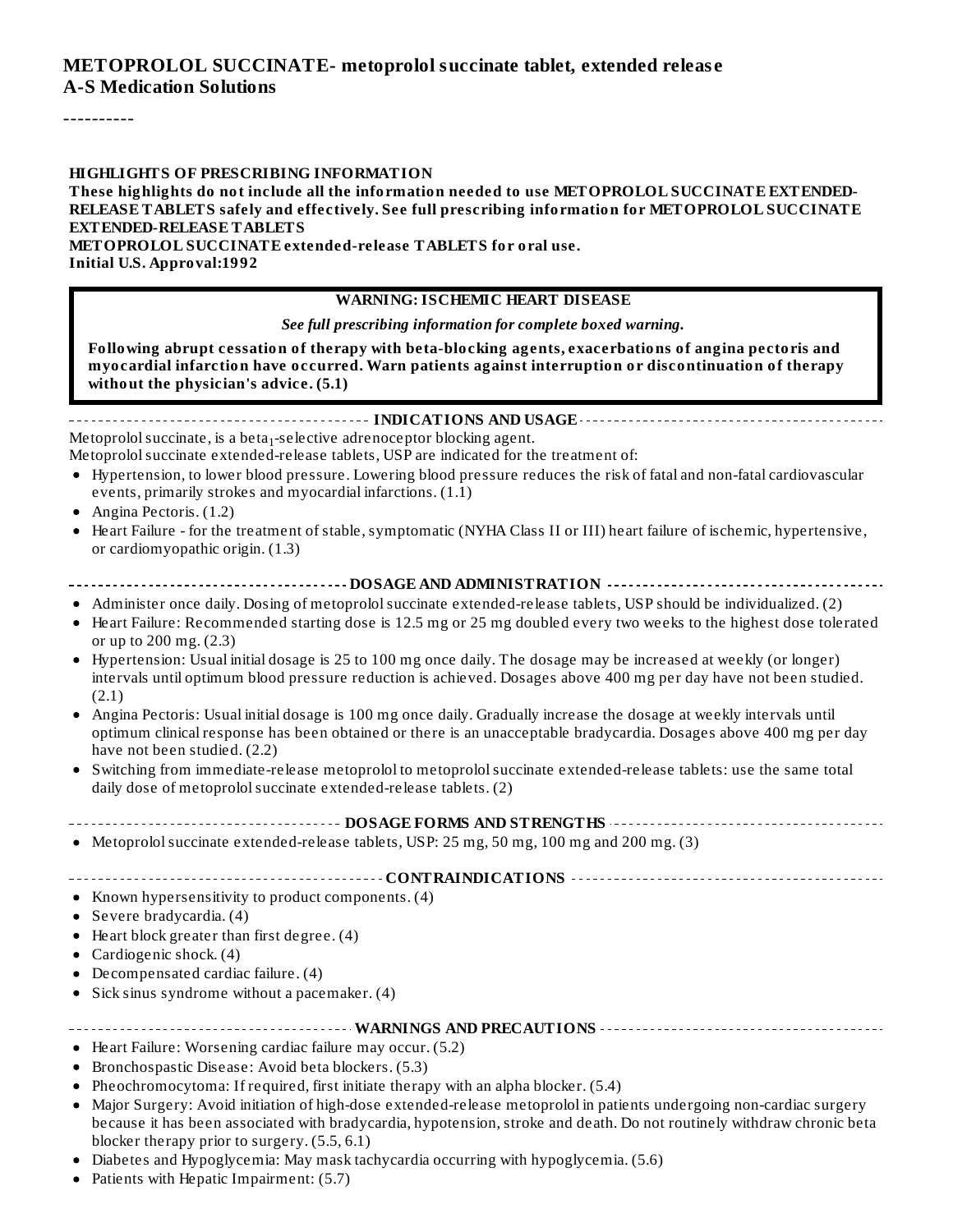### **METOPROLOL SUCCINATE- metoprolol succinate tablet, extended releas e A-S Medication Solutions**

----------

#### **HIGHLIGHTS OF PRESCRIBING INFORMATION**

**These highlights do not include all the information needed to use METOPROLOL SUCCINATE EXTENDED-RELEASE TABLETS safely and effectively. See full prescribing information for METOPROLOL SUCCINATE EXTENDED-RELEASE TABLETS**

**METOPROLOL SUCCINATE extended-release TABLETS for oral use.**

**Initial U.S. Approval:1992**

#### **WARNING: ISCHEMIC HEART DISEASE**

*See full prescribing information for complete boxed warning.*

**Following abrupt cessation of therapy with beta-blocking agents, exacerbations of angina pectoris and myocardial infarction have occurred. Warn patients against interruption or discontinuation of therapy without the physician's advice. (5.1)**

**INDICATIONS AND USAGE** Metoprolol succinate, is a beta $_1$ -selective adrenoceptor blocking agent. Metoprololsuccinate extended-release tablets, USP are indicated for the treatment of: Hypertension, to lower blood pressure. Lowering blood pressure reduces the risk of fatal and non-fatal cardiovascular events, primarily strokes and myocardial infarctions. (1.1) Angina Pectoris. (1.2)  $\bullet$ Heart Failure - for the treatment of stable, symptomatic (NYHA Class II or III) heart failure of ischemic, hypertensive,  $\bullet$ or cardiomyopathic origin. (1.3) **DOSAGE AND ADMINISTRATION** Administer once daily. Dosing of metoprololsuccinate extended-release tablets, USP should be individualized. (2) Heart Failure: Recommended starting dose is 12.5 mg or 25 mg doubled every two weeks to the highest dose tolerated  $\bullet$ or up to 200 mg. (2.3) Hypertension: Usual initial dosage is 25 to 100 mg once daily. The dosage may be increased at weekly (or longer) intervals until optimum blood pressure reduction is achieved. Dosages above 400 mg per day have not been studied. (2.1) Angina Pectoris: Usual initial dosage is 100 mg once daily. Gradually increase the dosage at weekly intervals until  $\bullet$ optimum clinical response has been obtained or there is an unacceptable bradycardia. Dosages above 400 mg per day have not been studied. (2.2) Switching from immediate-release metoprolol to metoprololsuccinate extended-release tablets: use the same total daily dose of metoprolol succinate extended-release tablets. (2) **DOSAGE FORMS AND STRENGTHS**  $\bullet$  Metoprolol succinate extended-release tablets, USP: 25 mg, 50 mg, 100 mg and 200 mg. (3) **CONTRAINDICATIONS** Known hypersensitivity to product components. (4) Severe bradycardia. (4) Heart block greater than first degree. (4) Cardiogenic shock. (4)  $\bullet$ Decompensated cardiac failure. (4)  $\bullet$ Sick sinus syndrome without a pacemaker. (4)  $\bullet$ **WARNINGS AND PRECAUTIONS** Heart Failure: Worsening cardiac failure may occur. (5.2) Bronchospastic Disease: Avoid beta blockers. (5.3)

- Pheochromocytoma: If required, first initiate therapy with an alpha blocker. (5.4)
- Major Surgery: Avoid initiation of high-dose extended-release metoprolol in patients undergoing non-cardiac surgery because it has been associated with bradycardia, hypotension, stroke and death. Do not routinely withdraw chronic beta blocker therapy prior to surgery. (5.5, 6.1)
- Diabetes and Hypoglycemia: May mask tachycardia occurring with hypoglycemia. (5.6)
- Patients with Hepatic Impairment: (5.7)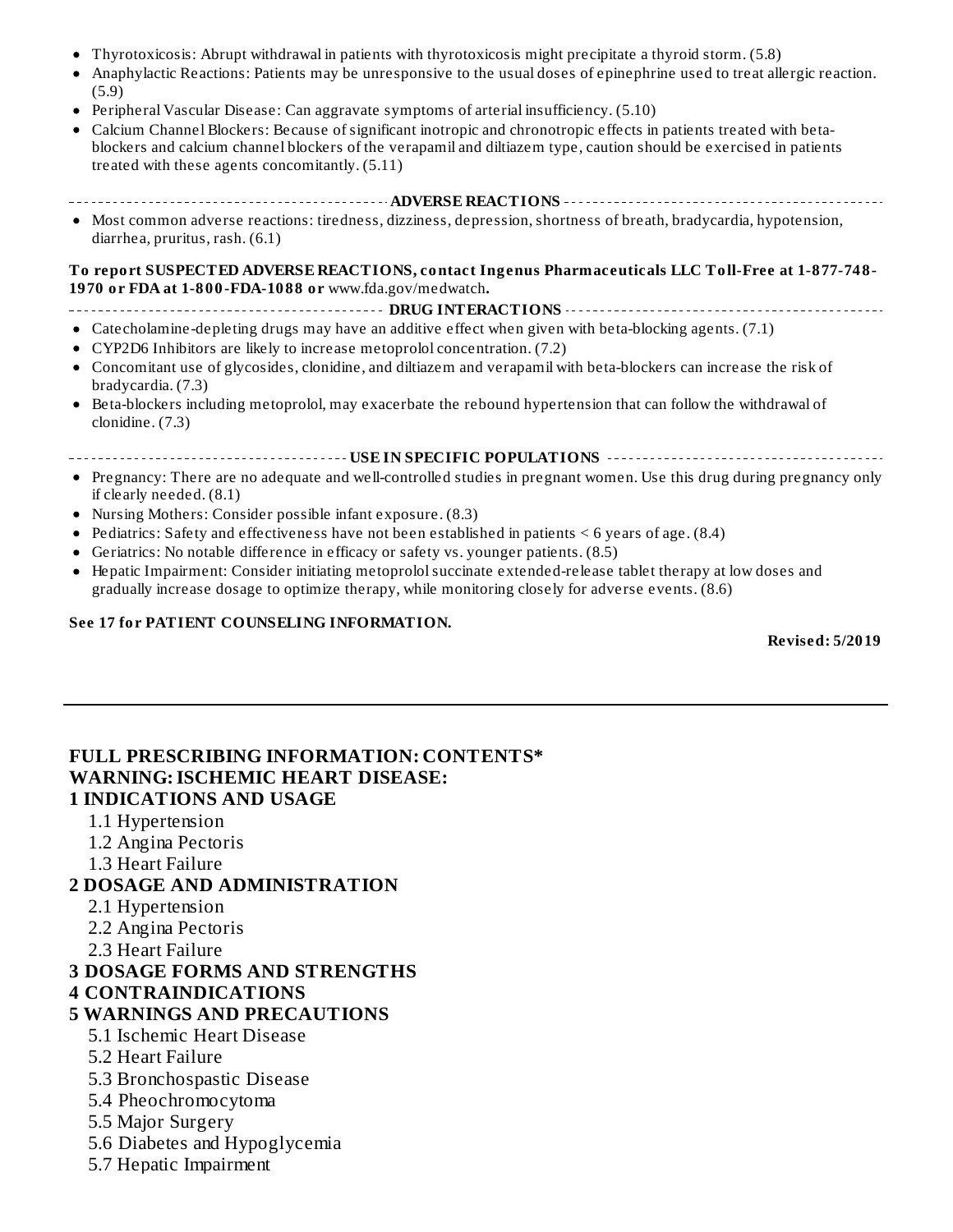- Thyrotoxicosis: Abrupt withdrawal in patients with thyrotoxicosis might precipitate a thyroid storm. (5.8)
- Anaphylactic Reactions: Patients may be unresponsive to the usual doses of epinephrine used to treat allergic reaction. (5.9)
- Peripheral Vascular Disease: Can aggravate symptoms of arterial insufficiency. (5.10)
- Calcium Channel Blockers: Because of significant inotropic and chronotropic effects in patients treated with betablockers and calcium channel blockers of the verapamil and diltiazem type, caution should be exercised in patients treated with these agents concomitantly. (5.11)

#### **ADVERSE REACTIONS**

Most common adverse reactions: tiredness, dizziness, depression, shortness of breath, bradycardia, hypotension, diarrhea, pruritus, rash. (6.1)

#### **To report SUSPECTED ADVERSE REACTIONS, contact Ingenus Pharmaceuticals LLC Toll-Free at 1-877-748- 1970 or FDA at 1-800-FDA-1088 or** www.fda.gov/medwatch**.**

#### **DRUG INTERACTIONS**

- Catecholamine-depleting drugs may have an additive effect when given with beta-blocking agents. (7.1)
- CYP2D6 Inhibitors are likely to increase metoprolol concentration. (7.2)
- Concomitant use of glycosides, clonidine, and diltiazem and verapamil with beta-blockers can increase the risk of bradycardia. (7.3)
- Beta-blockers including metoprolol, may exacerbate the rebound hypertension that can follow the withdrawal of clonidine. (7.3)

#### **USE IN SPECIFIC POPULATIONS**

- Pregnancy: There are no adequate and well-controlled studies in pregnant women. Use this drug during pregnancy only if clearly needed. (8.1)
- Nursing Mothers: Consider possible infant exposure. (8.3)
- Pediatrics: Safety and effectiveness have not been established in patients  $\leq 6$  years of age. (8.4)
- Geriatrics: No notable difference in efficacy or safety vs. younger patients. (8.5)
- Hepatic Impairment: Consider initiating metoprololsuccinate extended-release tablet therapy at low doses and gradually increase dosage to optimize therapy, while monitoring closely for adverse events. (8.6)

#### **See 17 for PATIENT COUNSELING INFORMATION.**

**Revised: 5/2019**

### **FULL PRESCRIBING INFORMATION: CONTENTS\* WARNING:ISCHEMIC HEART DISEASE: 1 INDICATIONS AND USAGE**

- 1.1 Hypertension
- 1.2 Angina Pectoris
- 1.3 Heart Failure

#### **2 DOSAGE AND ADMINISTRATION**

- 2.1 Hypertension
- 2.2 Angina Pectoris
- 2.3 Heart Failure

### **3 DOSAGE FORMS AND STRENGTHS**

#### **4 CONTRAINDICATIONS**

#### **5 WARNINGS AND PRECAUTIONS**

- 5.1 Ischemic Heart Disease
- 5.2 Heart Failure
- 5.3 Bronchospastic Disease
- 5.4 Pheochromocytoma
- 5.5 Major Surgery
- 5.6 Diabetes and Hypoglycemia
- 5.7 Hepatic Impairment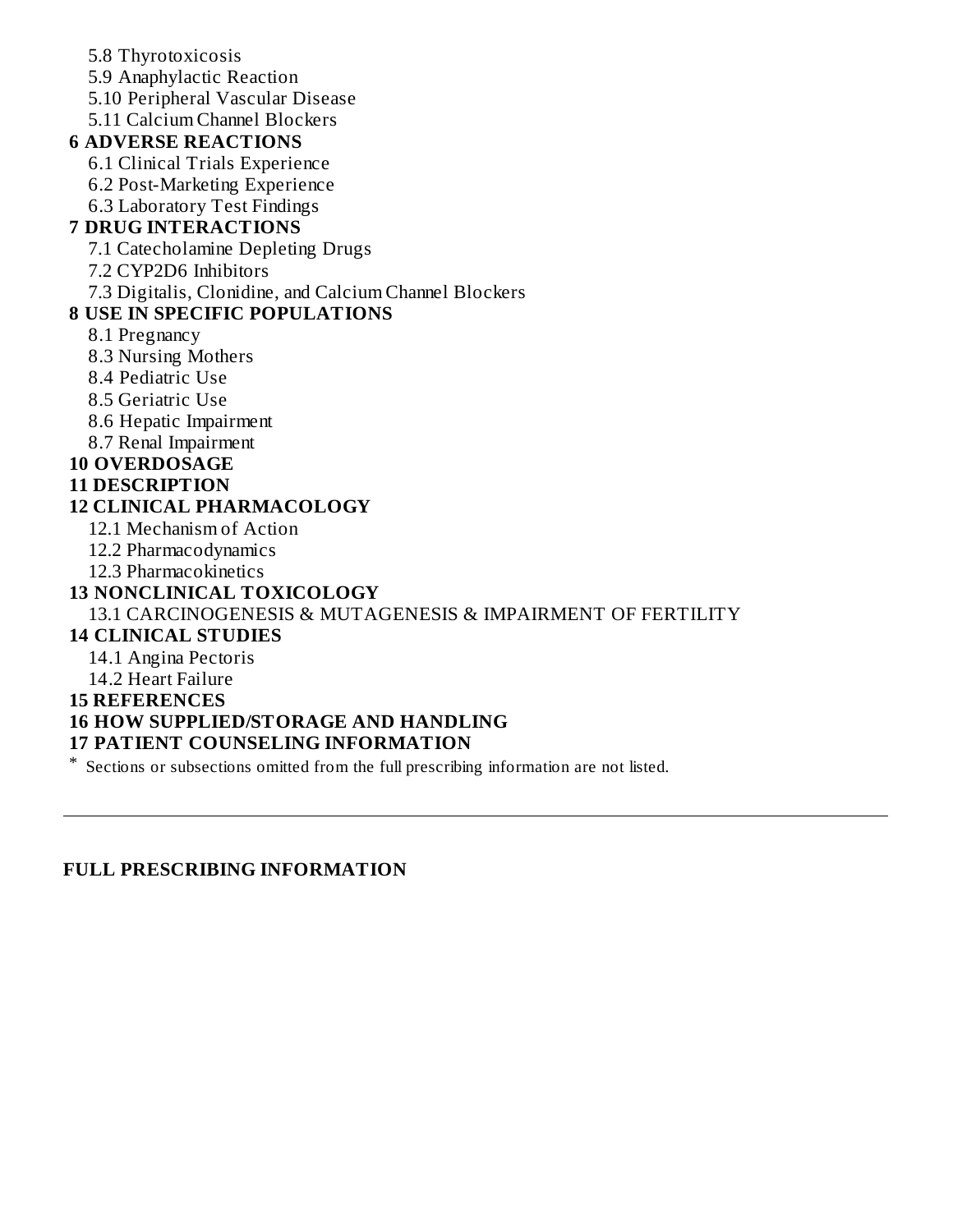5.8 Thyrotoxicosis 5.9 Anaphylactic Reaction 5.10 Peripheral Vascular Disease 5.11 Calcium Channel Blockers **6 ADVERSE REACTIONS** 6.1 Clinical Trials Experience 6.2 Post-Marketing Experience 6.3 Laboratory Test Findings **7 DRUG INTERACTIONS** 7.1 Catecholamine Depleting Drugs 7.2 CYP2D6 Inhibitors 7.3 Digitalis, Clonidine, and Calcium Channel Blockers **8 USE IN SPECIFIC POPULATIONS** 8.1 Pregnancy 8.3 Nursing Mothers 8.4 Pediatric Use 8.5 Geriatric Use 8.6 Hepatic Impairment 8.7 Renal Impairment **10 OVERDOSAGE 11 DESCRIPTION 12 CLINICAL PHARMACOLOGY** 12.1 Mechanism of Action 12.2 Pharmacodynamics 12.3 Pharmacokinetics **13 NONCLINICAL TOXICOLOGY** 13.1 CARCINOGENESIS & MUTAGENESIS & IMPAIRMENT OF FERTILITY **14 CLINICAL STUDIES** 14.1 Angina Pectoris 14.2 Heart Failure **15 REFERENCES 16 HOW SUPPLIED/STORAGE AND HANDLING 17 PATIENT COUNSELING INFORMATION** \* Sections or subsections omitted from the full prescribing information are not listed.

### **FULL PRESCRIBING INFORMATION**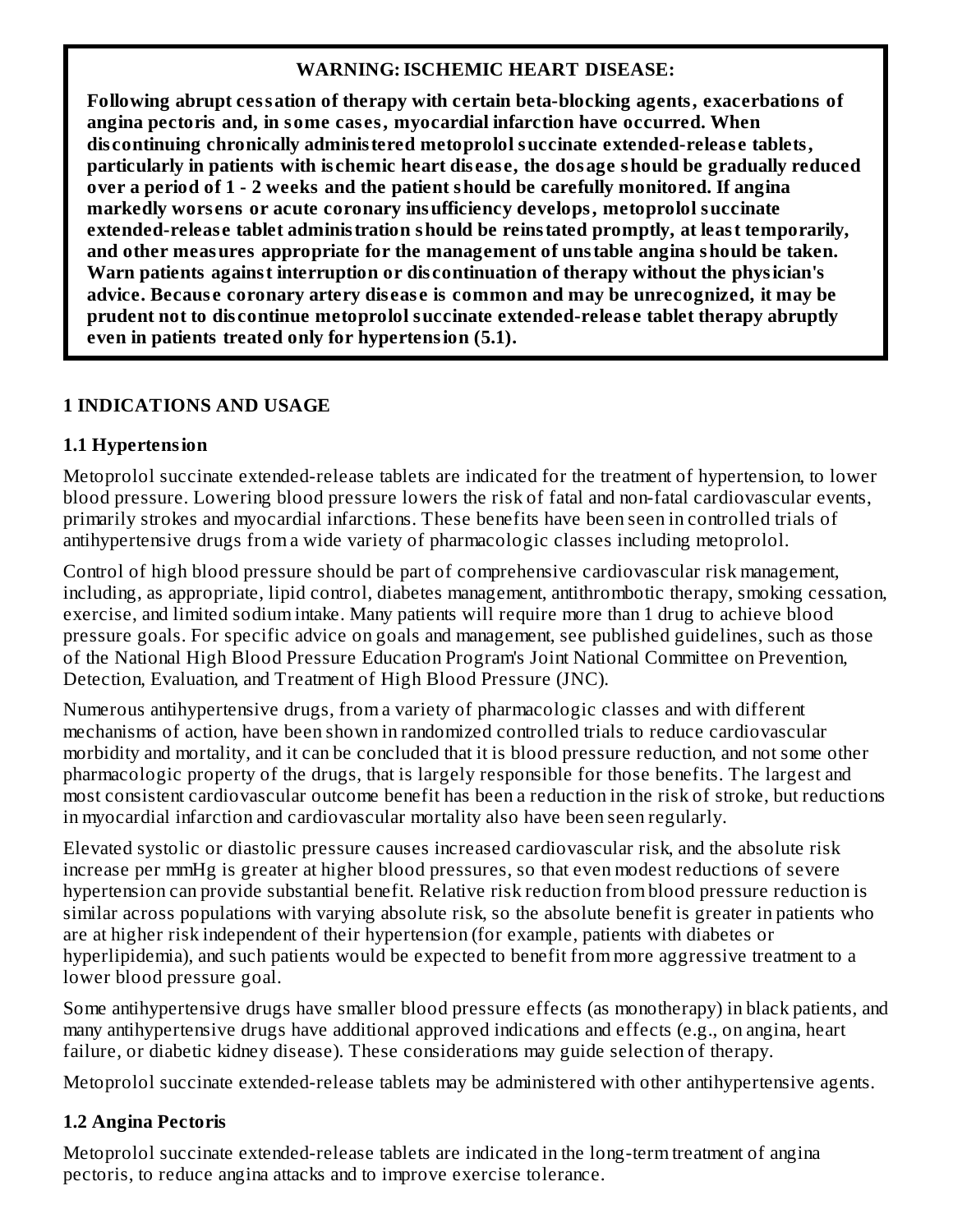### **WARNING:ISCHEMIC HEART DISEASE:**

**Following abrupt cessation of therapy with certain beta-blocking agents, exacerbations of angina pectoris and, in some cas es, myocardial infarction have occurred. When dis continuing chronically administered metoprolol succinate extended-releas e tablets, particularly in patients with is chemic heart dis eas e, the dosage should be gradually reduced over a period of 1 - 2 weeks and the patient should be carefully monitored. If angina markedly wors ens or acute coronary insufficiency develops, metoprolol succinate extended-releas e tablet administration should be reinstated promptly, at least temporarily, and other measures appropriate for the management of unstable angina should be taken. Warn patients against interruption or dis continuation of therapy without the physician's advice. Becaus e coronary artery dis eas e is common and may be unrecognized, it may be prudent not to dis continue metoprolol succinate extended-releas e tablet therapy abruptly even in patients treated only for hypertension (5.1).**

## **1 INDICATIONS AND USAGE**

### **1.1 Hypertension**

Metoprolol succinate extended-release tablets are indicated for the treatment of hypertension, to lower blood pressure. Lowering blood pressure lowers the risk of fatal and non-fatal cardiovascular events, primarily strokes and myocardial infarctions. These benefits have been seen in controlled trials of antihypertensive drugs from a wide variety of pharmacologic classes including metoprolol.

Control of high blood pressure should be part of comprehensive cardiovascular risk management, including, as appropriate, lipid control, diabetes management, antithrombotic therapy, smoking cessation, exercise, and limited sodium intake. Many patients will require more than 1 drug to achieve blood pressure goals. For specific advice on goals and management, see published guidelines, such as those of the National High Blood Pressure Education Program's Joint National Committee on Prevention, Detection, Evaluation, and Treatment of High Blood Pressure (JNC).

Numerous antihypertensive drugs, from a variety of pharmacologic classes and with different mechanisms of action, have been shown in randomized controlled trials to reduce cardiovascular morbidity and mortality, and it can be concluded that it is blood pressure reduction, and not some other pharmacologic property of the drugs, that is largely responsible for those benefits. The largest and most consistent cardiovascular outcome benefit has been a reduction in the risk of stroke, but reductions in myocardial infarction and cardiovascular mortality also have been seen regularly.

Elevated systolic or diastolic pressure causes increased cardiovascular risk, and the absolute risk increase per mmHg is greater at higher blood pressures, so that even modest reductions of severe hypertension can provide substantial benefit. Relative risk reduction from blood pressure reduction is similar across populations with varying absolute risk, so the absolute benefit is greater in patients who are at higher risk independent of their hypertension (for example, patients with diabetes or hyperlipidemia), and such patients would be expected to benefit from more aggressive treatment to a lower blood pressure goal.

Some antihypertensive drugs have smaller blood pressure effects (as monotherapy) in black patients, and many antihypertensive drugs have additional approved indications and effects (e.g., on angina, heart failure, or diabetic kidney disease). These considerations may guide selection of therapy.

Metoprolol succinate extended-release tablets may be administered with other antihypertensive agents.

## **1.2 Angina Pectoris**

Metoprolol succinate extended-release tablets are indicated in the long-term treatment of angina pectoris, to reduce angina attacks and to improve exercise tolerance.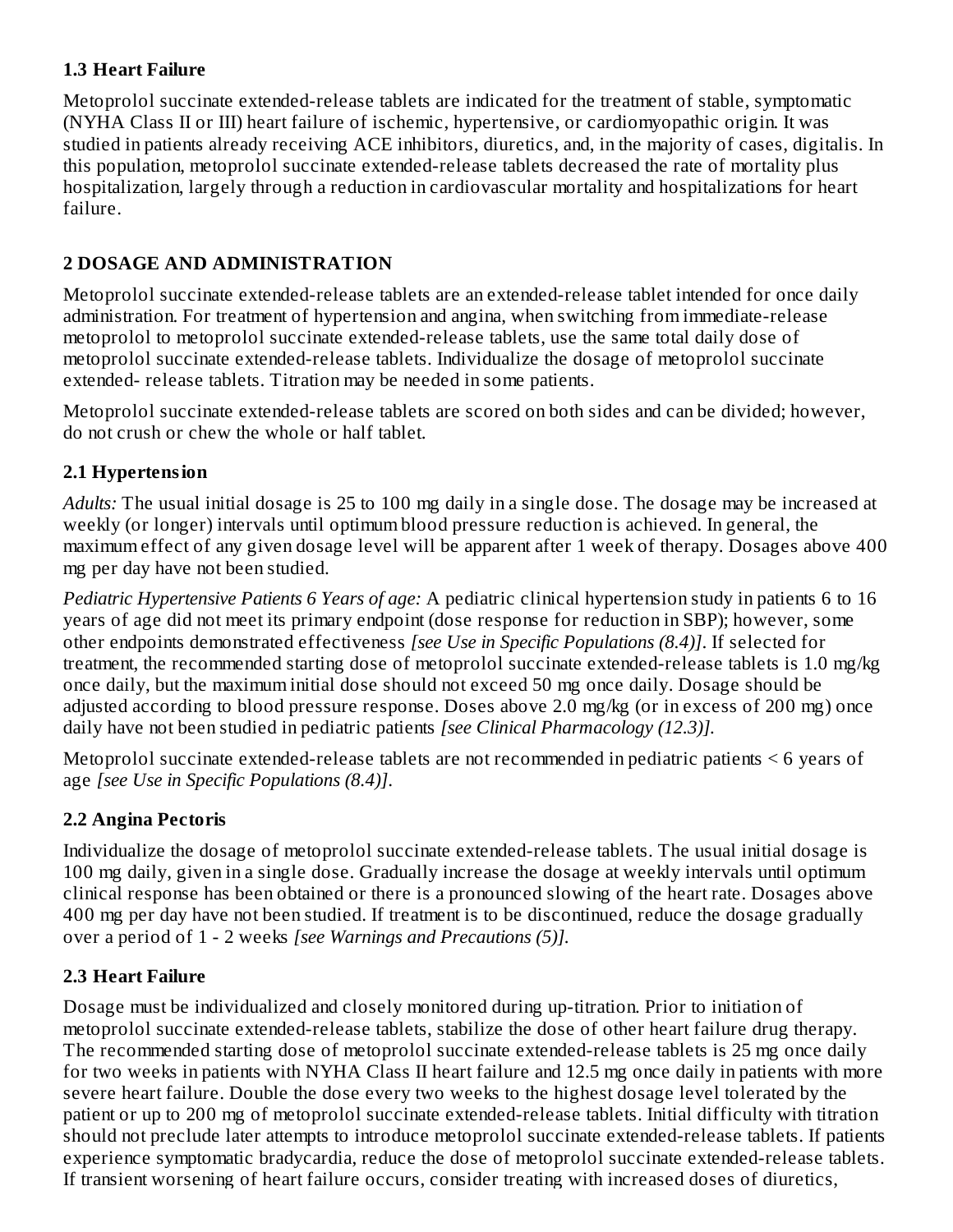### **1.3 Heart Failure**

Metoprolol succinate extended-release tablets are indicated for the treatment of stable, symptomatic (NYHA Class II or III) heart failure of ischemic, hypertensive, or cardiomyopathic origin. It was studied in patients already receiving ACE inhibitors, diuretics, and, in the majority of cases, digitalis. In this population, metoprolol succinate extended-release tablets decreased the rate of mortality plus hospitalization, largely through a reduction in cardiovascular mortality and hospitalizations for heart failure.

### **2 DOSAGE AND ADMINISTRATION**

Metoprolol succinate extended-release tablets are an extended-release tablet intended for once daily administration. For treatment of hypertension and angina, when switching from immediate-release metoprolol to metoprolol succinate extended-release tablets, use the same total daily dose of metoprolol succinate extended-release tablets. Individualize the dosage of metoprolol succinate extended- release tablets. Titration may be needed in some patients.

Metoprolol succinate extended-release tablets are scored on both sides and can be divided; however, do not crush or chew the whole or half tablet.

## **2.1 Hypertension**

*Adults:* The usual initial dosage is 25 to 100 mg daily in a single dose. The dosage may be increased at weekly (or longer) intervals until optimum blood pressure reduction is achieved. In general, the maximum effect of any given dosage level will be apparent after 1 week of therapy. Dosages above 400 mg per day have not been studied.

*Pediatric Hypertensive Patients 6 Years of age:* A pediatric clinical hypertension study in patients 6 to 16 years of age did not meet its primary endpoint (dose response for reduction in SBP); however, some other endpoints demonstrated effectiveness *[see Use in Specific Populations (8.4)]*. If selected for treatment, the recommended starting dose of metoprolol succinate extended-release tablets is 1.0 mg/kg once daily, but the maximum initial dose should not exceed 50 mg once daily. Dosage should be adjusted according to blood pressure response. Doses above 2.0 mg/kg (or in excess of 200 mg) once daily have not been studied in pediatric patients *[see Clinical Pharmacology (12.3)].*

Metoprolol succinate extended-release tablets are not recommended in pediatric patients < 6 years of age *[see Use in Specific Populations (8.4)]*.

## **2.2 Angina Pectoris**

Individualize the dosage of metoprolol succinate extended-release tablets. The usual initial dosage is 100 mg daily, given in a single dose. Gradually increase the dosage at weekly intervals until optimum clinical response has been obtained or there is a pronounced slowing of the heart rate. Dosages above 400 mg per day have not been studied. If treatment is to be discontinued, reduce the dosage gradually over a period of 1 - 2 weeks *[see Warnings and Precautions (5)].*

## **2.3 Heart Failure**

Dosage must be individualized and closely monitored during up-titration. Prior to initiation of metoprolol succinate extended-release tablets, stabilize the dose of other heart failure drug therapy. The recommended starting dose of metoprolol succinate extended-release tablets is 25 mg once daily for two weeks in patients with NYHA Class II heart failure and 12.5 mg once daily in patients with more severe heart failure. Double the dose every two weeks to the highest dosage level tolerated by the patient or up to 200 mg of metoprolol succinate extended-release tablets. Initial difficulty with titration should not preclude later attempts to introduce metoprolol succinate extended-release tablets. If patients experience symptomatic bradycardia, reduce the dose of metoprolol succinate extended-release tablets. If transient worsening of heart failure occurs, consider treating with increased doses of diuretics,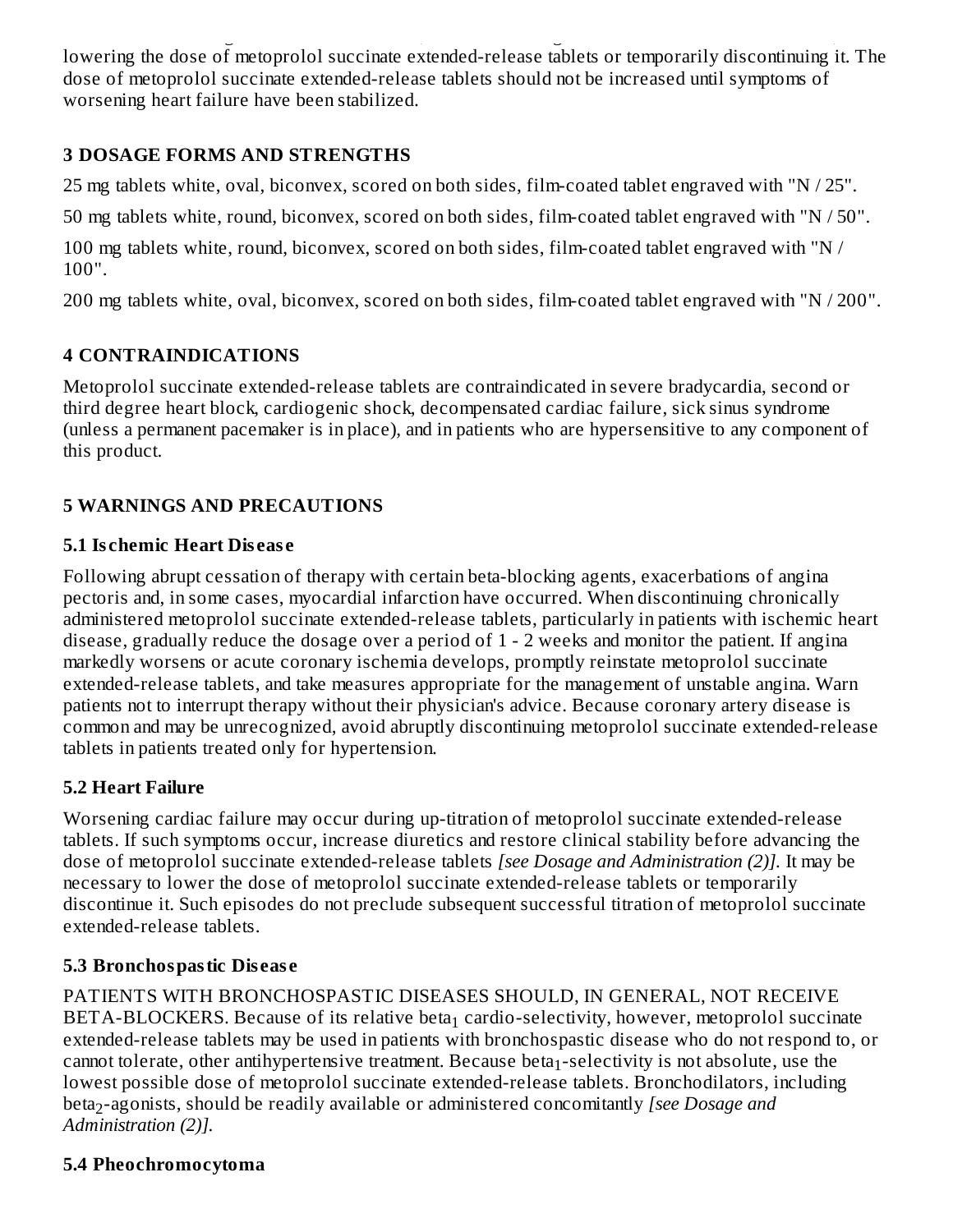If transient worsening of heart failure occurs, consider treating with increased doses of diuretics, lowering the dose of metoprolol succinate extended-release tablets or temporarily discontinuing it. The dose of metoprolol succinate extended-release tablets should not be increased until symptoms of worsening heart failure have been stabilized.

# **3 DOSAGE FORMS AND STRENGTHS**

25 mg tablets white, oval, biconvex, scored on both sides, film-coated tablet engraved with "N / 25".

50 mg tablets white, round, biconvex, scored on both sides, film-coated tablet engraved with "N / 50".

100 mg tablets white, round, biconvex, scored on both sides, film-coated tablet engraved with "N / 100".

200 mg tablets white, oval, biconvex, scored on both sides, film-coated tablet engraved with "N / 200".

# **4 CONTRAINDICATIONS**

Metoprolol succinate extended-release tablets are contraindicated in severe bradycardia, second or third degree heart block, cardiogenic shock, decompensated cardiac failure, sick sinus syndrome (unless a permanent pacemaker is in place), and in patients who are hypersensitive to any component of this product.

# **5 WARNINGS AND PRECAUTIONS**

# **5.1 Is chemic Heart Dis eas e**

Following abrupt cessation of therapy with certain beta-blocking agents, exacerbations of angina pectoris and, in some cases, myocardial infarction have occurred. When discontinuing chronically administered metoprolol succinate extended-release tablets, particularly in patients with ischemic heart disease, gradually reduce the dosage over a period of 1 - 2 weeks and monitor the patient. If angina markedly worsens or acute coronary ischemia develops, promptly reinstate metoprolol succinate extended-release tablets, and take measures appropriate for the management of unstable angina. Warn patients not to interrupt therapy without their physician's advice. Because coronary artery disease is common and may be unrecognized, avoid abruptly discontinuing metoprolol succinate extended-release tablets in patients treated only for hypertension.

# **5.2 Heart Failure**

Worsening cardiac failure may occur during up-titration of metoprolol succinate extended-release tablets. If such symptoms occur, increase diuretics and restore clinical stability before advancing the dose of metoprolol succinate extended-release tablets *[see Dosage and Administration (2)].* It may be necessary to lower the dose of metoprolol succinate extended-release tablets or temporarily discontinue it. Such episodes do not preclude subsequent successful titration of metoprolol succinate extended-release tablets.

# **5.3 Bronchospastic Dis eas e**

PATIENTS WITH BRONCHOSPASTIC DISEASES SHOULD, IN GENERAL, NOT RECEIVE  $\operatorname{BETA-BLOCKERS}$ . Because of its relative beta $_1$  cardio-selectivity, however, metoprolol succinate extended-release tablets may be used in patients with bronchospastic disease who do not respond to, or cannot tolerate, other antihypertensive treatment. Because beta $_1$ -selectivity is not absolute, use the lowest possible dose of metoprolol succinate extended-release tablets. Bronchodilators, including beta<sub>2</sub>-agonists, should be readily available or administered concomitantly *[see Dosage and Administration (2)].*

# **5.4 Pheochromocytoma**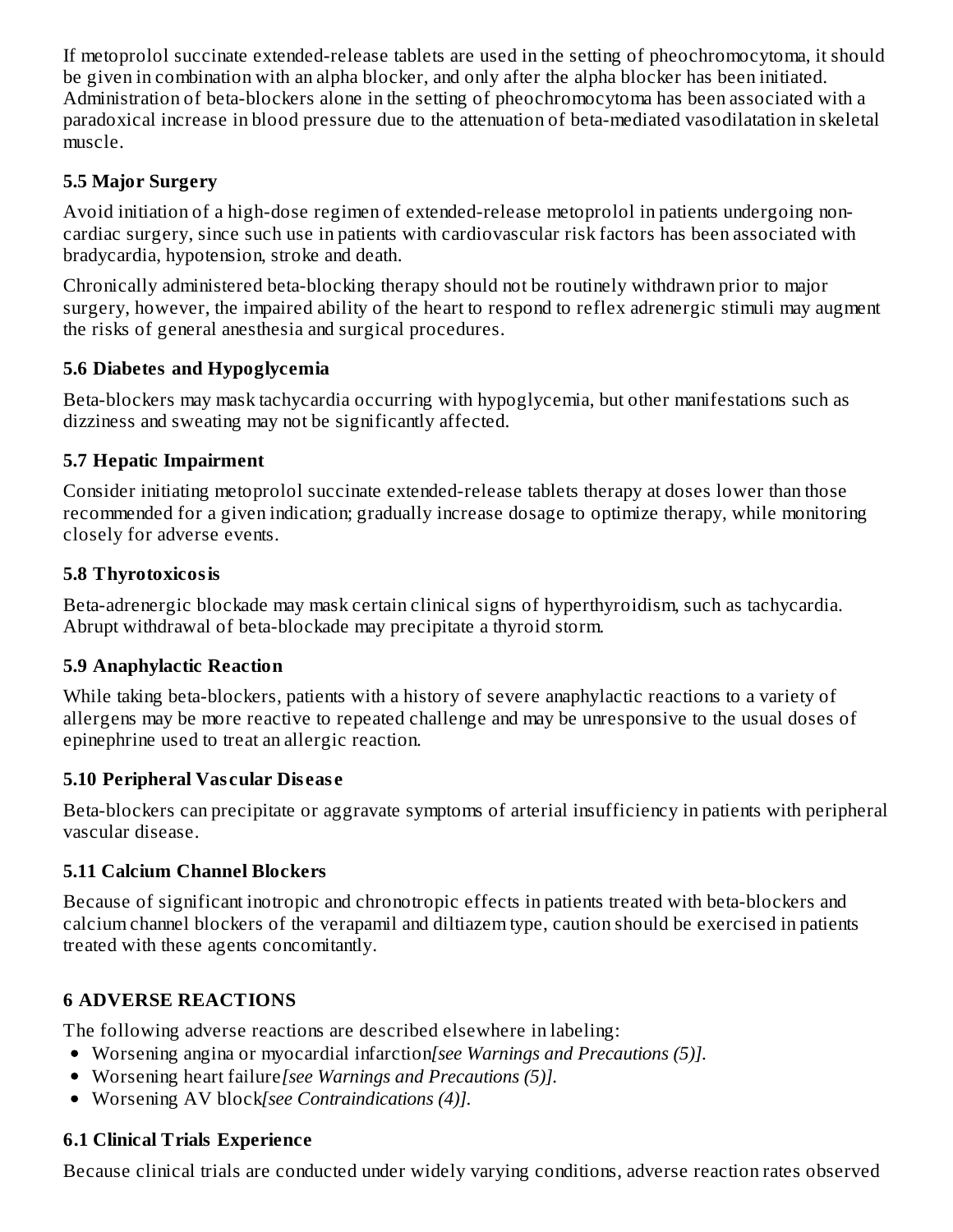If metoprolol succinate extended-release tablets are used in the setting of pheochromocytoma, it should be given in combination with an alpha blocker, and only after the alpha blocker has been initiated. Administration of beta-blockers alone in the setting of pheochromocytoma has been associated with a paradoxical increase in blood pressure due to the attenuation of beta-mediated vasodilatation in skeletal muscle.

## **5.5 Major Surgery**

Avoid initiation of a high-dose regimen of extended-release metoprolol in patients undergoing noncardiac surgery, since such use in patients with cardiovascular risk factors has been associated with bradycardia, hypotension, stroke and death.

Chronically administered beta-blocking therapy should not be routinely withdrawn prior to major surgery, however, the impaired ability of the heart to respond to reflex adrenergic stimuli may augment the risks of general anesthesia and surgical procedures.

# **5.6 Diabetes and Hypoglycemia**

Beta-blockers may mask tachycardia occurring with hypoglycemia, but other manifestations such as dizziness and sweating may not be significantly affected.

## **5.7 Hepatic Impairment**

Consider initiating metoprolol succinate extended-release tablets therapy at doses lower than those recommended for a given indication; gradually increase dosage to optimize therapy, while monitoring closely for adverse events.

## **5.8 Thyrotoxicosis**

Beta-adrenergic blockade may mask certain clinical signs of hyperthyroidism, such as tachycardia. Abrupt withdrawal of beta-blockade may precipitate a thyroid storm.

## **5.9 Anaphylactic Reaction**

While taking beta-blockers, patients with a history of severe anaphylactic reactions to a variety of allergens may be more reactive to repeated challenge and may be unresponsive to the usual doses of epinephrine used to treat an allergic reaction.

# **5.10 Peripheral Vas cular Dis eas e**

Beta-blockers can precipitate or aggravate symptoms of arterial insufficiency in patients with peripheral vascular disease.

# **5.11 Calcium Channel Blockers**

Because of significant inotropic and chronotropic effects in patients treated with beta-blockers and calcium channel blockers of the verapamil and diltiazem type, caution should be exercised in patients treated with these agents concomitantly.

# **6 ADVERSE REACTIONS**

The following adverse reactions are described elsewhere in labeling:

- Worsening angina or myocardial infarction*[see Warnings and Precautions (5)].*
- Worsening heart failure*[see Warnings and Precautions (5)].*
- Worsening AV block*[see Contraindications (4)].*

# **6.1 Clinical Trials Experience**

Because clinical trials are conducted under widely varying conditions, adverse reaction rates observed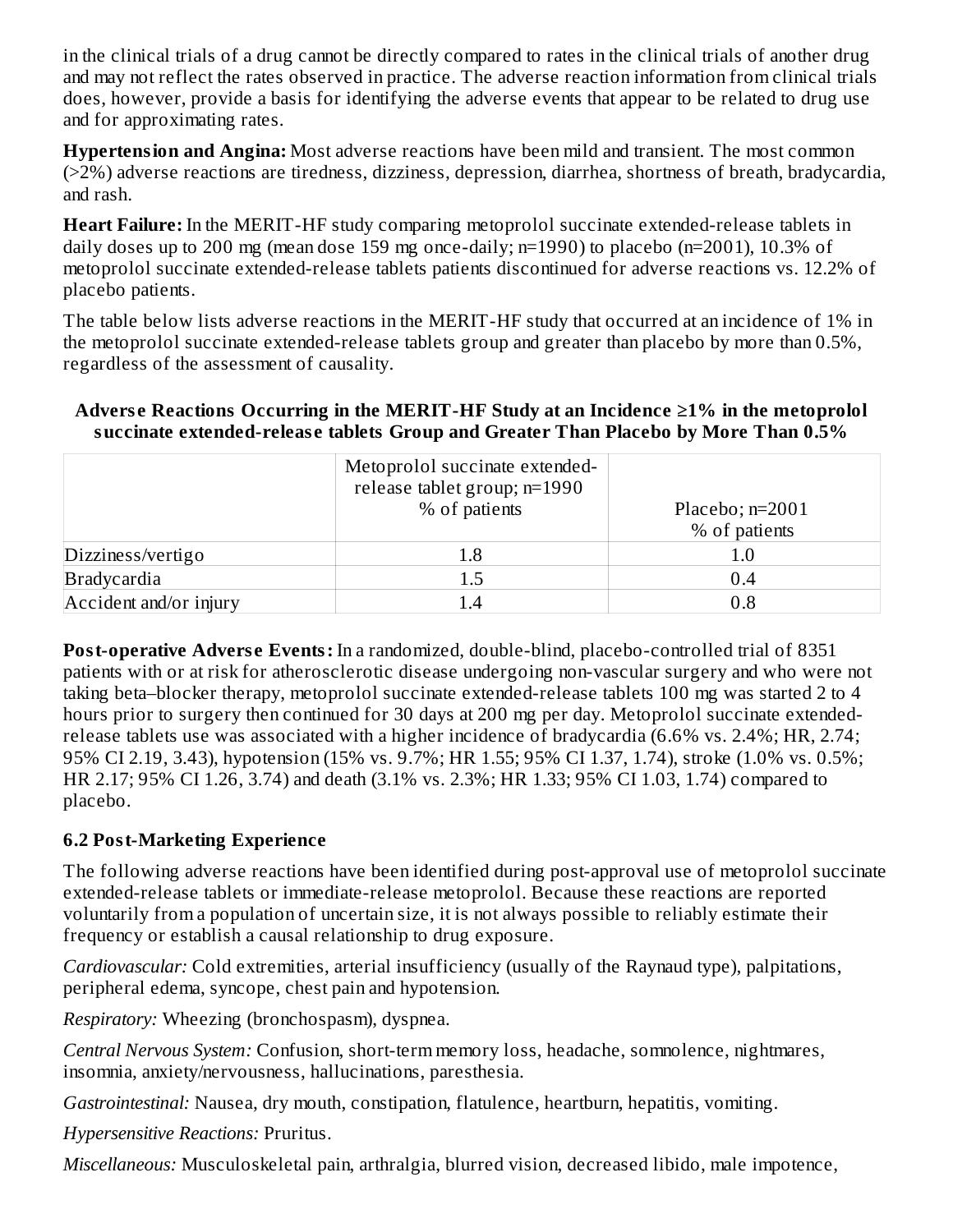in the clinical trials of a drug cannot be directly compared to rates in the clinical trials of another drug and may not reflect the rates observed in practice. The adverse reaction information from clinical trials does, however, provide a basis for identifying the adverse events that appear to be related to drug use and for approximating rates.

**Hypertension and Angina:** Most adverse reactions have been mild and transient. The most common (>2%) adverse reactions are tiredness, dizziness, depression, diarrhea, shortness of breath, bradycardia, and rash.

**Heart Failure:** In the MERIT-HF study comparing metoprolol succinate extended-release tablets in daily doses up to 200 mg (mean dose 159 mg once-daily; n=1990) to placebo (n=2001), 10.3% of metoprolol succinate extended-release tablets patients discontinued for adverse reactions vs. 12.2% of placebo patients.

The table below lists adverse reactions in the MERIT-HF study that occurred at an incidence of 1% in the metoprolol succinate extended-release tablets group and greater than placebo by more than 0.5%, regardless of the assessment of causality.

### **Advers e Reactions Occurring in the MERIT-HF Study at an Incidence ≥1% in the metoprolol succinate extended-releas e tablets Group and Greater Than Placebo by More Than 0.5%**

|                        | Metoprolol succinate extended-<br>release tablet group; n=1990<br>% of patients | Placebo; $n=2001$<br>% of patients |
|------------------------|---------------------------------------------------------------------------------|------------------------------------|
| Dizziness/vertigo      | 1.8                                                                             | 1.0                                |
| Bradycardia            | 1.5                                                                             | 0.4                                |
| Accident and/or injury |                                                                                 | $_{0.8}$                           |

**Post-operative Adverse Events:** In a randomized, double-blind, placebo-controlled trial of 8351 patients with or at risk for atherosclerotic disease undergoing non-vascular surgery and who were not taking beta–blocker therapy, metoprolol succinate extended-release tablets 100 mg was started 2 to 4 hours prior to surgery then continued for 30 days at 200 mg per day. Metoprolol succinate extendedrelease tablets use was associated with a higher incidence of bradycardia (6.6% vs. 2.4%; HR, 2.74; 95% CI 2.19, 3.43), hypotension (15% vs. 9.7%; HR 1.55; 95% CI 1.37, 1.74), stroke (1.0% vs. 0.5%; HR 2.17; 95% CI 1.26, 3.74) and death (3.1% vs. 2.3%; HR 1.33; 95% CI 1.03, 1.74) compared to placebo.

### **6.2 Post-Marketing Experience**

The following adverse reactions have been identified during post-approval use of metoprolol succinate extended-release tablets or immediate-release metoprolol. Because these reactions are reported voluntarily from a population of uncertain size, it is not always possible to reliably estimate their frequency or establish a causal relationship to drug exposure.

*Cardiovascular:* Cold extremities, arterial insufficiency (usually of the Raynaud type), palpitations, peripheral edema, syncope, chest pain and hypotension.

*Respiratory:* Wheezing (bronchospasm), dyspnea.

*Central Nervous System:* Confusion, short-term memory loss, headache, somnolence, nightmares, insomnia, anxiety/nervousness, hallucinations, paresthesia.

*Gastrointestinal:* Nausea, dry mouth, constipation, flatulence, heartburn, hepatitis, vomiting.

*Hypersensitive Reactions:* Pruritus.

*Miscellaneous:* Musculoskeletal pain, arthralgia, blurred vision, decreased libido, male impotence,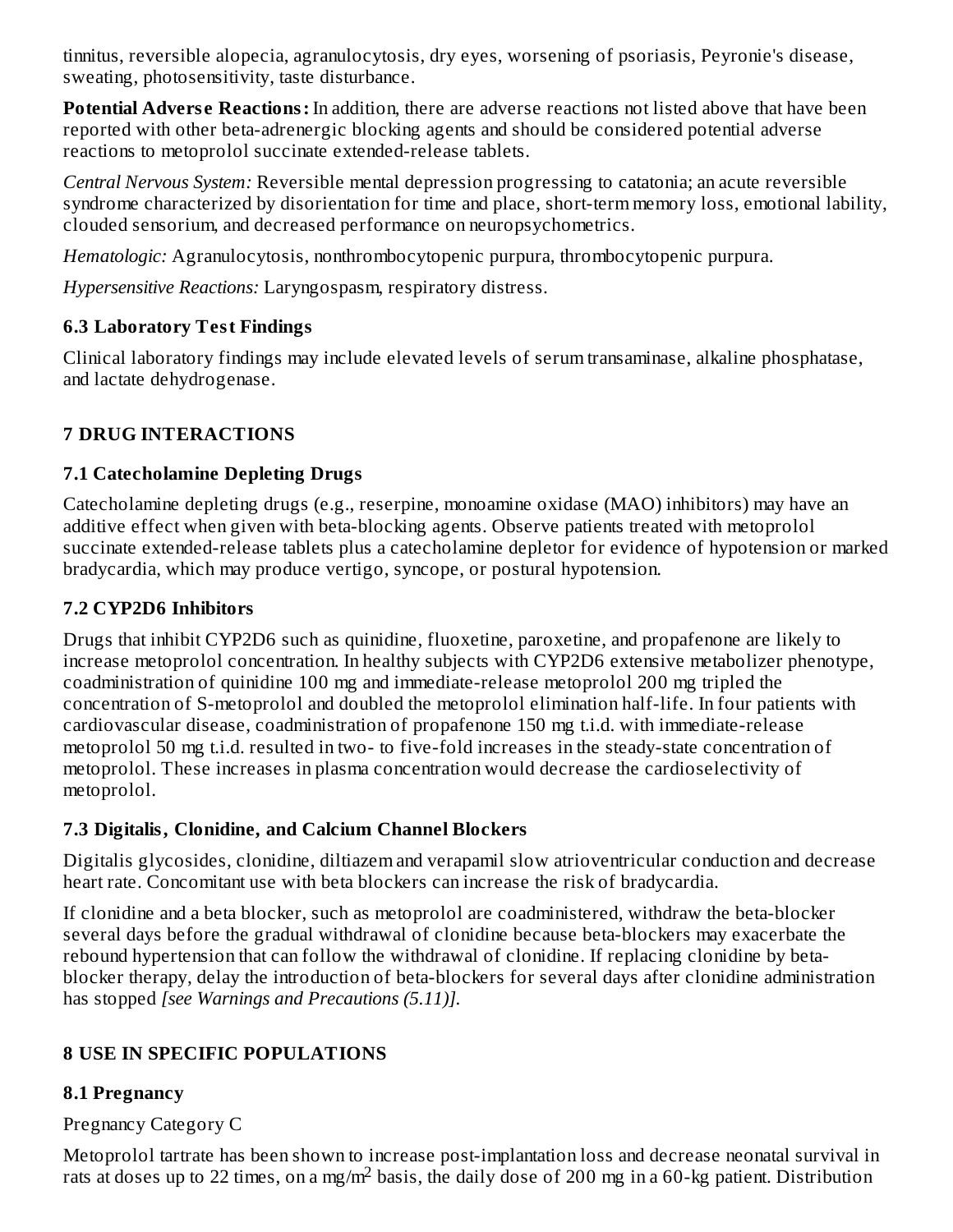tinnitus, reversible alopecia, agranulocytosis, dry eyes, worsening of psoriasis, Peyronie's disease, sweating, photosensitivity, taste disturbance.

**Potential Advers e Reactions:** In addition, there are adverse reactions not listed above that have been reported with other beta-adrenergic blocking agents and should be considered potential adverse reactions to metoprolol succinate extended-release tablets.

*Central Nervous System:* Reversible mental depression progressing to catatonia; an acute reversible syndrome characterized by disorientation for time and place, short-term memory loss, emotional lability, clouded sensorium, and decreased performance on neuropsychometrics.

*Hematologic:* Agranulocytosis, nonthrombocytopenic purpura, thrombocytopenic purpura.

*Hypersensitive Reactions:* Laryngospasm, respiratory distress.

### **6.3 Laboratory Test Findings**

Clinical laboratory findings may include elevated levels of serum transaminase, alkaline phosphatase, and lactate dehydrogenase.

### **7 DRUG INTERACTIONS**

### **7.1 Catecholamine Depleting Drugs**

Catecholamine depleting drugs (e.g., reserpine, monoamine oxidase (MAO) inhibitors) may have an additive effect when given with beta-blocking agents. Observe patients treated with metoprolol succinate extended-release tablets plus a catecholamine depletor for evidence of hypotension or marked bradycardia, which may produce vertigo, syncope, or postural hypotension.

### **7.2 CYP2D6 Inhibitors**

Drugs that inhibit CYP2D6 such as quinidine, fluoxetine, paroxetine, and propafenone are likely to increase metoprolol concentration. In healthy subjects with CYP2D6 extensive metabolizer phenotype, coadministration of quinidine 100 mg and immediate-release metoprolol 200 mg tripled the concentration of S-metoprolol and doubled the metoprolol elimination half-life. In four patients with cardiovascular disease, coadministration of propafenone 150 mg t.i.d. with immediate-release metoprolol 50 mg t.i.d. resulted in two- to five-fold increases in the steady-state concentration of metoprolol. These increases in plasma concentration would decrease the cardioselectivity of metoprolol.

## **7.3 Digitalis, Clonidine, and Calcium Channel Blockers**

Digitalis glycosides, clonidine, diltiazem and verapamil slow atrioventricular conduction and decrease heart rate. Concomitant use with beta blockers can increase the risk of bradycardia.

If clonidine and a beta blocker, such as metoprolol are coadministered, withdraw the beta-blocker several days before the gradual withdrawal of clonidine because beta-blockers may exacerbate the rebound hypertension that can follow the withdrawal of clonidine. If replacing clonidine by betablocker therapy, delay the introduction of beta-blockers for several days after clonidine administration has stopped *[see Warnings and Precautions (5.11)].*

## **8 USE IN SPECIFIC POPULATIONS**

## **8.1 Pregnancy**

Pregnancy Category C

Metoprolol tartrate has been shown to increase post-implantation loss and decrease neonatal survival in rats at doses up to 22 times, on a mg/m<sup>2</sup> basis, the daily dose of 200 mg in a 60-kg patient. Distribution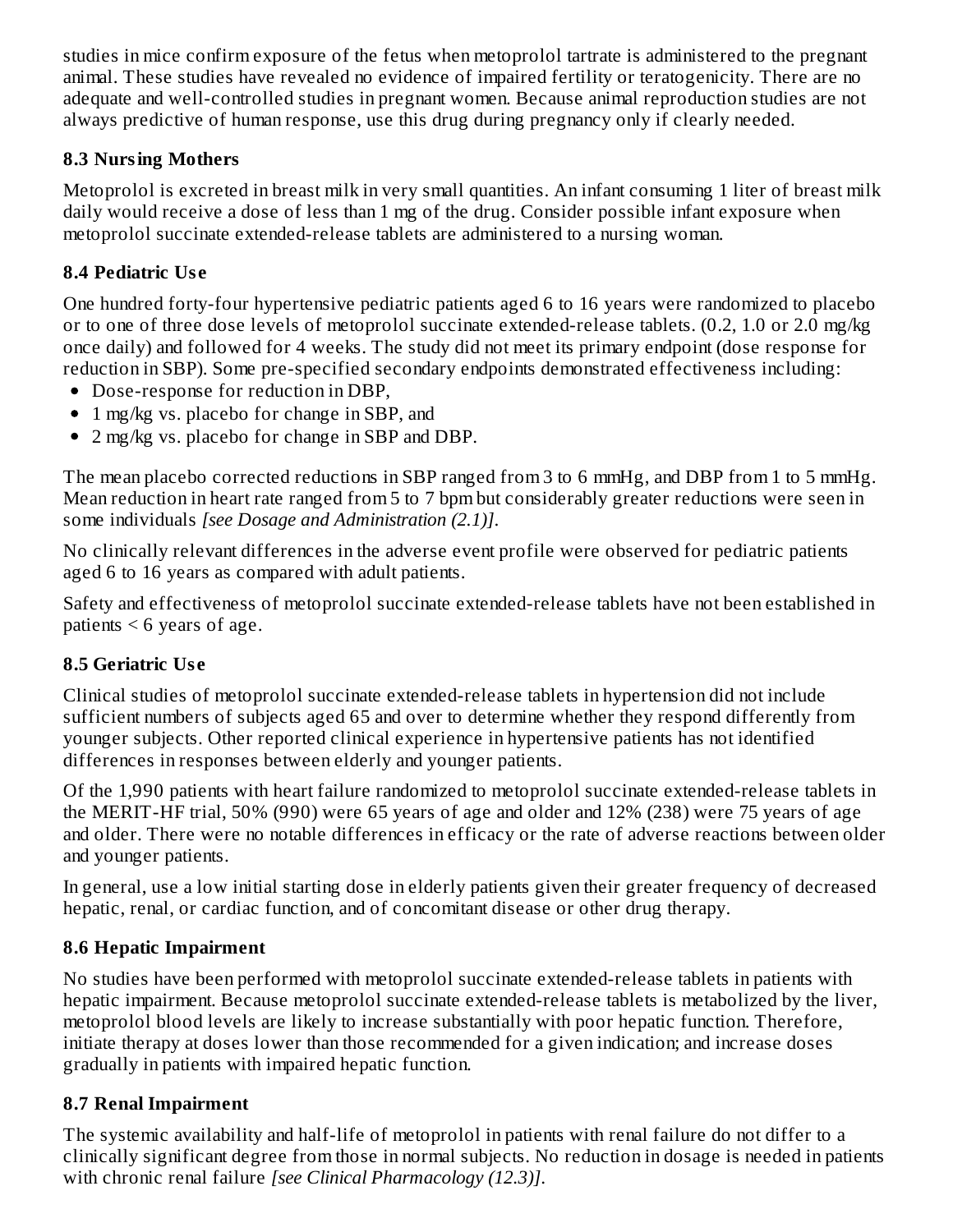studies in mice confirm exposure of the fetus when metoprolol tartrate is administered to the pregnant animal. These studies have revealed no evidence of impaired fertility or teratogenicity. There are no adequate and well-controlled studies in pregnant women. Because animal reproduction studies are not always predictive of human response, use this drug during pregnancy only if clearly needed.

## **8.3 Nursing Mothers**

Metoprolol is excreted in breast milk in very small quantities. An infant consuming 1 liter of breast milk daily would receive a dose of less than 1 mg of the drug. Consider possible infant exposure when metoprolol succinate extended-release tablets are administered to a nursing woman.

# **8.4 Pediatric Us e**

One hundred forty-four hypertensive pediatric patients aged 6 to 16 years were randomized to placebo or to one of three dose levels of metoprolol succinate extended-release tablets. (0.2, 1.0 or 2.0 mg/kg once daily) and followed for 4 weeks. The study did not meet its primary endpoint (dose response for reduction in SBP). Some pre-specified secondary endpoints demonstrated effectiveness including:

- Dose-response for reduction in DBP,
- 1 mg/kg vs. placebo for change in SBP, and
- 2 mg/kg vs. placebo for change in SBP and DBP.

The mean placebo corrected reductions in SBP ranged from 3 to 6 mmHg, and DBP from 1 to 5 mmHg. Mean reduction in heart rate ranged from 5 to 7 bpm but considerably greater reductions were seen in some individuals *[see Dosage and Administration (2.1)]*.

No clinically relevant differences in the adverse event profile were observed for pediatric patients aged 6 to 16 years as compared with adult patients.

Safety and effectiveness of metoprolol succinate extended-release tablets have not been established in patients < 6 years of age.

## **8.5 Geriatric Us e**

Clinical studies of metoprolol succinate extended-release tablets in hypertension did not include sufficient numbers of subjects aged 65 and over to determine whether they respond differently from younger subjects. Other reported clinical experience in hypertensive patients has not identified differences in responses between elderly and younger patients.

Of the 1,990 patients with heart failure randomized to metoprolol succinate extended-release tablets in the MERIT-HF trial, 50% (990) were 65 years of age and older and 12% (238) were 75 years of age and older. There were no notable differences in efficacy or the rate of adverse reactions between older and younger patients.

In general, use a low initial starting dose in elderly patients given their greater frequency of decreased hepatic, renal, or cardiac function, and of concomitant disease or other drug therapy.

## **8.6 Hepatic Impairment**

No studies have been performed with metoprolol succinate extended-release tablets in patients with hepatic impairment. Because metoprolol succinate extended-release tablets is metabolized by the liver, metoprolol blood levels are likely to increase substantially with poor hepatic function. Therefore, initiate therapy at doses lower than those recommended for a given indication; and increase doses gradually in patients with impaired hepatic function.

# **8.7 Renal Impairment**

The systemic availability and half-life of metoprolol in patients with renal failure do not differ to a clinically significant degree from those in normal subjects. No reduction in dosage is needed in patients with chronic renal failure *[see Clinical Pharmacology (12.3)]*.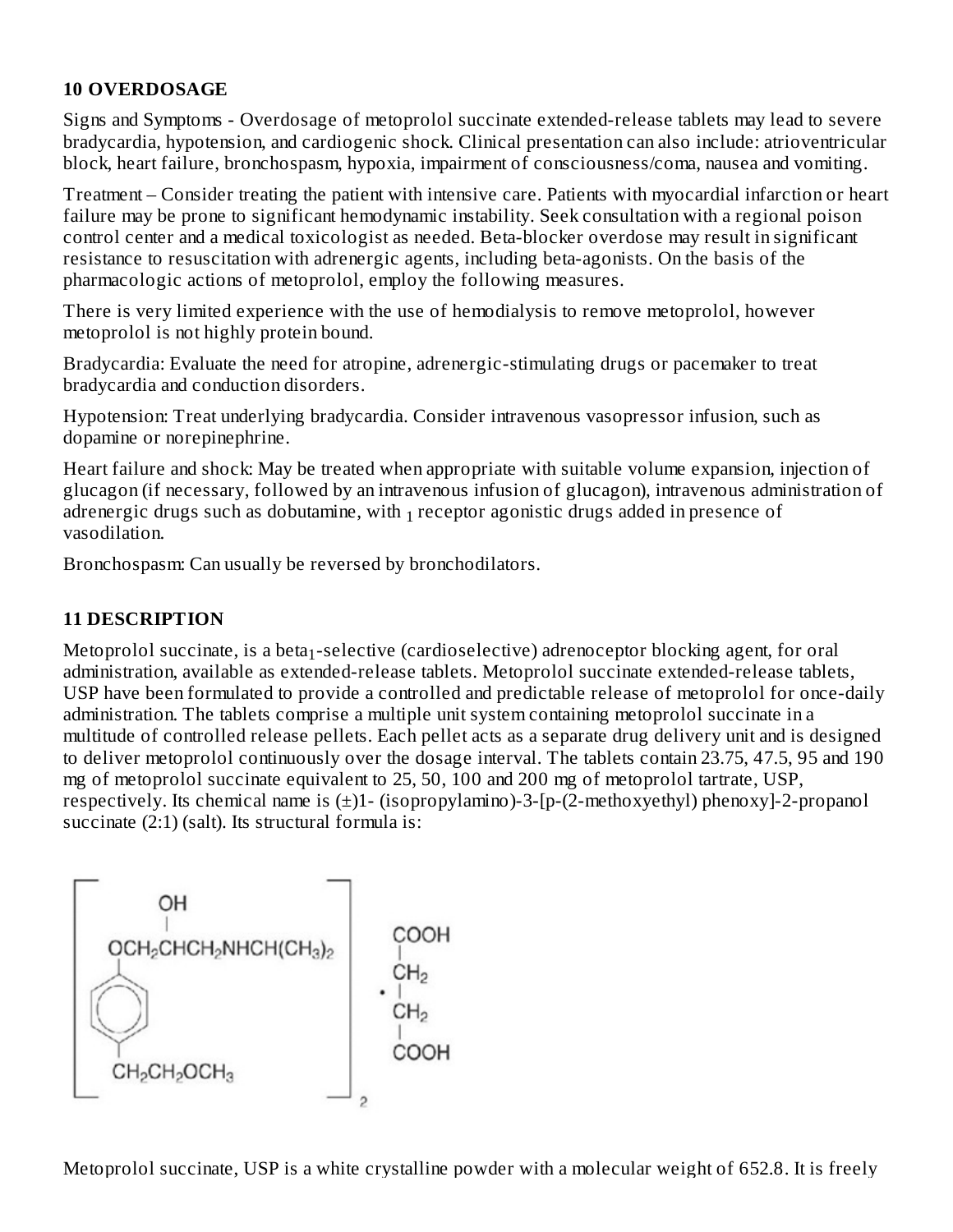### **10 OVERDOSAGE**

Signs and Symptoms - Overdosage of metoprolol succinate extended-release tablets may lead to severe bradycardia, hypotension, and cardiogenic shock. Clinical presentation can also include: atrioventricular block, heart failure, bronchospasm, hypoxia, impairment of consciousness/coma, nausea and vomiting.

Treatment – Consider treating the patient with intensive care. Patients with myocardial infarction or heart failure may be prone to significant hemodynamic instability. Seek consultation with a regional poison control center and a medical toxicologist as needed. Beta-blocker overdose may result in significant resistance to resuscitation with adrenergic agents, including beta-agonists. On the basis of the pharmacologic actions of metoprolol, employ the following measures.

There is very limited experience with the use of hemodialysis to remove metoprolol, however metoprolol is not highly protein bound.

Bradycardia: Evaluate the need for atropine, adrenergic-stimulating drugs or pacemaker to treat bradycardia and conduction disorders.

Hypotension: Treat underlying bradycardia. Consider intravenous vasopressor infusion, such as dopamine or norepinephrine.

Heart failure and shock: May be treated when appropriate with suitable volume expansion, injection of glucagon (if necessary, followed by an intravenous infusion of glucagon), intravenous administration of adrenergic drugs such as dobutamine, with  $_1$  receptor agonistic drugs added in presence of vasodilation.

Bronchospasm: Can usually be reversed by bronchodilators.

### **11 DESCRIPTION**

Metoprolol succinate, is a beta $_1$ -selective (cardioselective) adrenoceptor blocking agent, for oral administration, available as extended-release tablets. Metoprolol succinate extended-release tablets, USP have been formulated to provide a controlled and predictable release of metoprolol for once-daily administration. The tablets comprise a multiple unit system containing metoprolol succinate in a multitude of controlled release pellets. Each pellet acts as a separate drug delivery unit and is designed to deliver metoprolol continuously over the dosage interval. The tablets contain 23.75, 47.5, 95 and 190 mg of metoprolol succinate equivalent to 25, 50, 100 and 200 mg of metoprolol tartrate, USP, respectively. Its chemical name is  $(\pm)$ 1- (isopropylamino)-3-[p-(2-methoxyethyl) phenoxy]-2-propanol succinate (2:1) (salt). Its structural formula is:

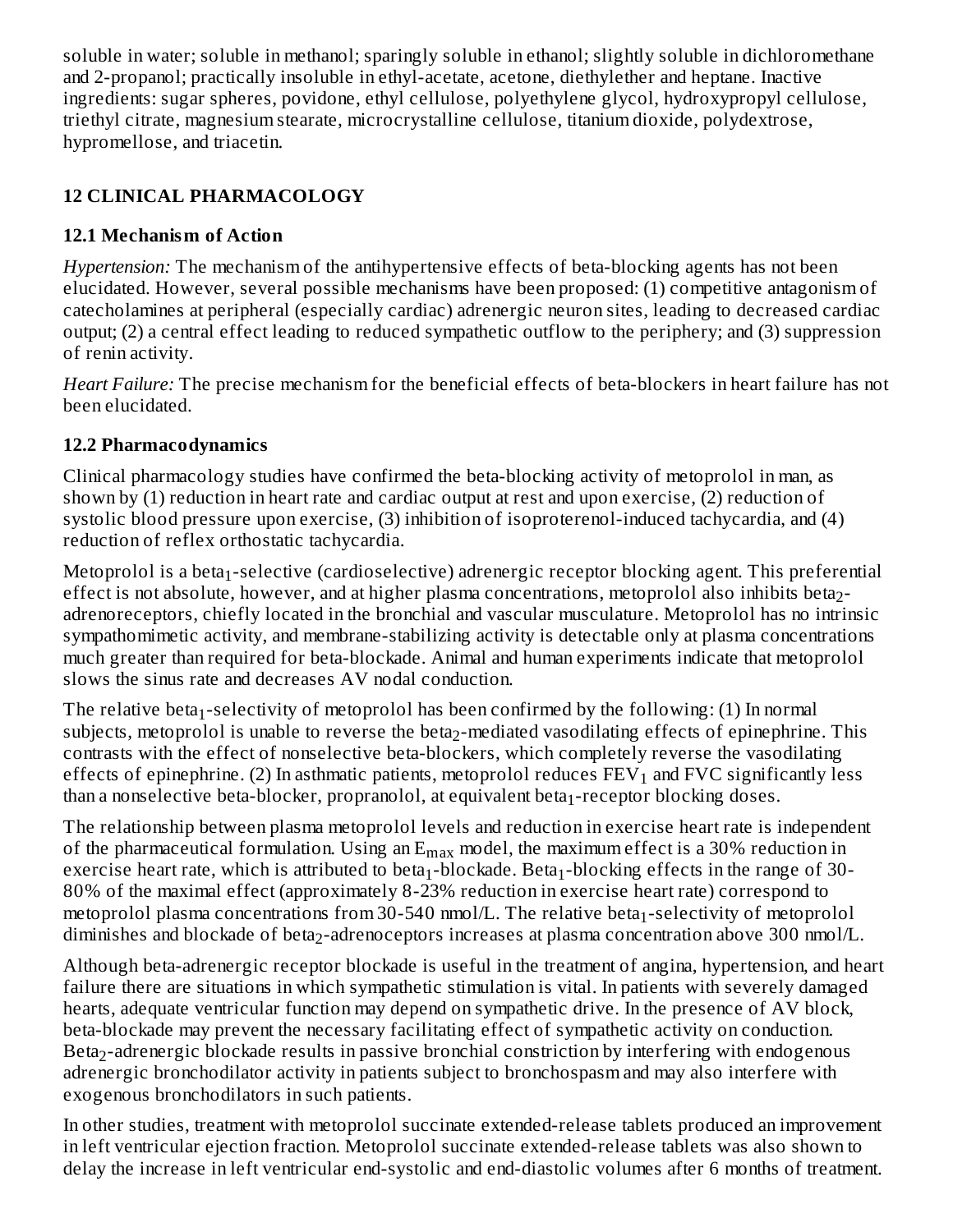soluble in water; soluble in methanol; sparingly soluble in ethanol; slightly soluble in dichloromethane and 2-propanol; practically insoluble in ethyl-acetate, acetone, diethylether and heptane. Inactive ingredients: sugar spheres, povidone, ethyl cellulose, polyethylene glycol, hydroxypropyl cellulose, triethyl citrate, magnesium stearate, microcrystalline cellulose, titanium dioxide, polydextrose, hypromellose, and triacetin.

# **12 CLINICAL PHARMACOLOGY**

# **12.1 Mechanism of Action**

*Hypertension:* The mechanism of the antihypertensive effects of beta-blocking agents has not been elucidated. However, several possible mechanisms have been proposed: (1) competitive antagonism of catecholamines at peripheral (especially cardiac) adrenergic neuron sites, leading to decreased cardiac output; (2) a central effect leading to reduced sympathetic outflow to the periphery; and (3) suppression of renin activity.

*Heart Failure:* The precise mechanism for the beneficial effects of beta-blockers in heart failure has not been elucidated.

## **12.2 Pharmacodynamics**

Clinical pharmacology studies have confirmed the beta-blocking activity of metoprolol in man, as shown by (1) reduction in heart rate and cardiac output at rest and upon exercise, (2) reduction of systolic blood pressure upon exercise, (3) inhibition of isoproterenol-induced tachycardia, and (4) reduction of reflex orthostatic tachycardia.

Metoprolol is a beta $_1$ -selective (cardioselective) adrenergic receptor blocking agent. This preferential effect is not absolute, however, and at higher plasma concentrations, metoprolol also inhibits beta<sub>2</sub>adrenoreceptors, chiefly located in the bronchial and vascular musculature. Metoprolol has no intrinsic sympathomimetic activity, and membrane-stabilizing activity is detectable only at plasma concentrations much greater than required for beta-blockade. Animal and human experiments indicate that metoprolol slows the sinus rate and decreases AV nodal conduction.

The relative beta $_1$ -selectivity of metoprolol has been confirmed by the following: (1) In normal subjects, metoprolol is unable to reverse the beta $_2$ -mediated vasodilating effects of epinephrine. This contrasts with the effect of nonselective beta-blockers, which completely reverse the vasodilating effects of epinephrine. (2) In asthmatic patients, metoprolol reduces  $\text{FEV}_1$  and  $\text{FVC}$  significantly less than a nonselective beta-blocker, propranolol, at equivalent beta $_1$ -receptor blocking doses.

The relationship between plasma metoprolol levels and reduction in exercise heart rate is independent of the pharmaceutical formulation. Using an  $\rm{E_{max}}$  model, the maximum effect is a 30% reduction in exercise heart rate, which is attributed to beta $_1$ -blockade. Beta $_1$ -blocking effects in the range of 30-80% of the maximal effect (approximately 8-23% reduction in exercise heart rate) correspond to metoprolol plasma concentrations from 30-540 nmol/L. The relative beta $_1$ -selectivity of metoprolol diminishes and blockade of beta $_2$ -adrenoceptors increases at plasma concentration above 300 nmol/L.

Although beta-adrenergic receptor blockade is useful in the treatment of angina, hypertension, and heart failure there are situations in which sympathetic stimulation is vital. In patients with severely damaged hearts, adequate ventricular function may depend on sympathetic drive. In the presence of AV block, beta-blockade may prevent the necessary facilitating effect of sympathetic activity on conduction. Beta<sub>2</sub>-adrenergic blockade results in passive bronchial constriction by interfering with endogenous adrenergic bronchodilator activity in patients subject to bronchospasm and may also interfere with exogenous bronchodilators in such patients.

In other studies, treatment with metoprolol succinate extended-release tablets produced an improvement in left ventricular ejection fraction. Metoprolol succinate extended-release tablets was also shown to delay the increase in left ventricular end-systolic and end-diastolic volumes after 6 months of treatment.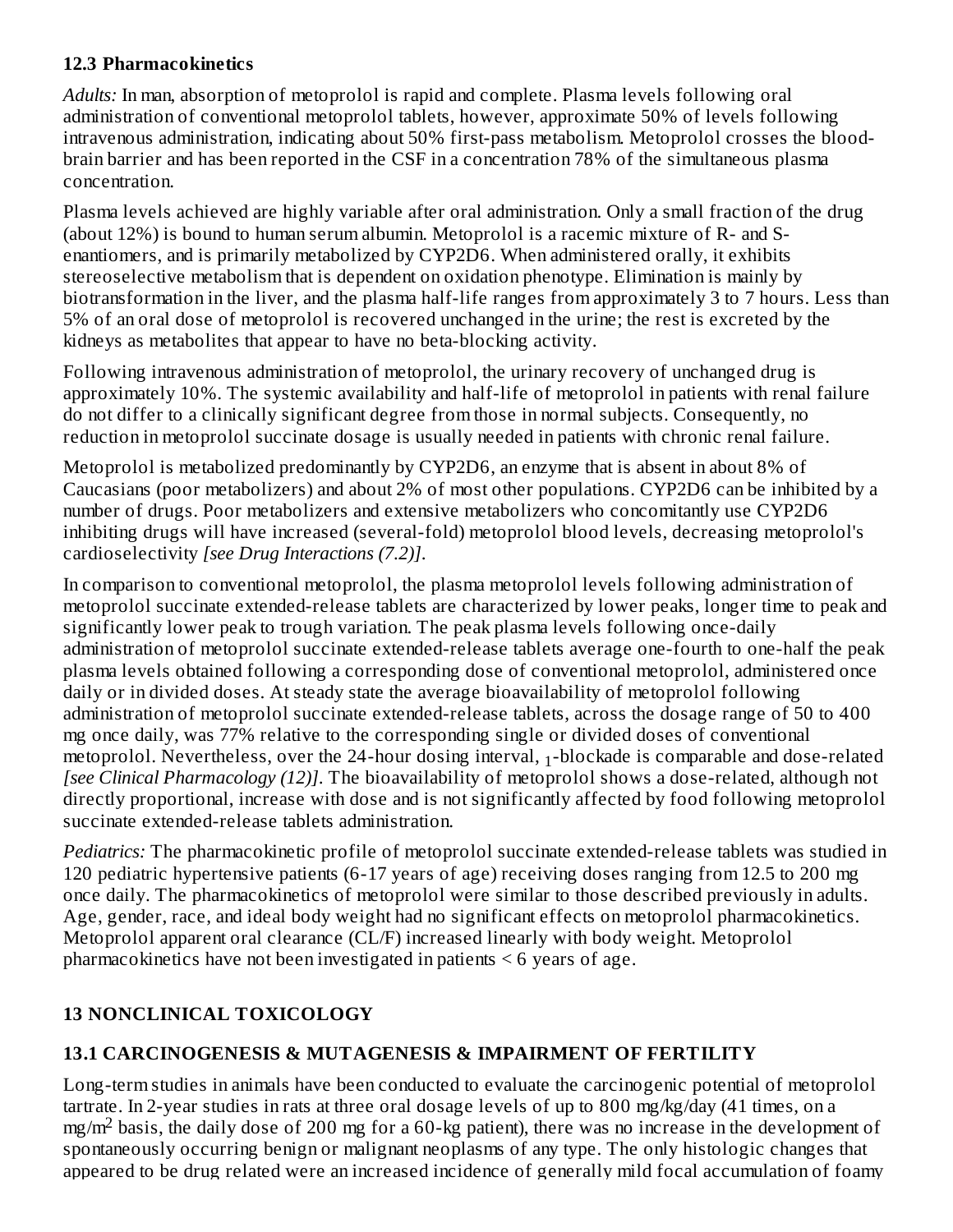### **12.3 Pharmacokinetics**

*Adults:* In man, absorption of metoprolol is rapid and complete. Plasma levels following oral administration of conventional metoprolol tablets, however, approximate 50% of levels following intravenous administration, indicating about 50% first-pass metabolism. Metoprolol crosses the bloodbrain barrier and has been reported in the CSF in a concentration 78% of the simultaneous plasma concentration.

Plasma levels achieved are highly variable after oral administration. Only a small fraction of the drug (about 12%) is bound to human serum albumin. Metoprolol is a racemic mixture of R- and Senantiomers, and is primarily metabolized by CYP2D6. When administered orally, it exhibits stereoselective metabolism that is dependent on oxidation phenotype. Elimination is mainly by biotransformation in the liver, and the plasma half-life ranges from approximately 3 to 7 hours. Less than 5% of an oral dose of metoprolol is recovered unchanged in the urine; the rest is excreted by the kidneys as metabolites that appear to have no beta-blocking activity.

Following intravenous administration of metoprolol, the urinary recovery of unchanged drug is approximately 10%. The systemic availability and half-life of metoprolol in patients with renal failure do not differ to a clinically significant degree from those in normal subjects. Consequently, no reduction in metoprolol succinate dosage is usually needed in patients with chronic renal failure.

Metoprolol is metabolized predominantly by CYP2D6, an enzyme that is absent in about 8% of Caucasians (poor metabolizers) and about 2% of most other populations. CYP2D6 can be inhibited by a number of drugs. Poor metabolizers and extensive metabolizers who concomitantly use CYP2D6 inhibiting drugs will have increased (several-fold) metoprolol blood levels, decreasing metoprolol's cardioselectivity *[see Drug Interactions (7.2)]*.

In comparison to conventional metoprolol, the plasma metoprolol levels following administration of metoprolol succinate extended-release tablets are characterized by lower peaks, longer time to peak and significantly lower peak to trough variation. The peak plasma levels following once-daily administration of metoprolol succinate extended-release tablets average one-fourth to one-half the peak plasma levels obtained following a corresponding dose of conventional metoprolol, administered once daily or in divided doses. At steady state the average bioavailability of metoprolol following administration of metoprolol succinate extended-release tablets, across the dosage range of 50 to 400 mg once daily, was 77% relative to the corresponding single or divided doses of conventional  ${\rm method}$ . Nevertheless, over the 24-hour dosing interval,  $_1$ -blockade is comparable and dose-related *[see Clinical Pharmacology (12)]*. The bioavailability of metoprolol shows a dose-related, although not directly proportional, increase with dose and is not significantly affected by food following metoprolol succinate extended-release tablets administration.

*Pediatrics:* The pharmacokinetic profile of metoprolol succinate extended-release tablets was studied in 120 pediatric hypertensive patients (6-17 years of age) receiving doses ranging from 12.5 to 200 mg once daily. The pharmacokinetics of metoprolol were similar to those described previously in adults. Age, gender, race, and ideal body weight had no significant effects on metoprolol pharmacokinetics. Metoprolol apparent oral clearance (CL/F) increased linearly with body weight. Metoprolol pharmacokinetics have not been investigated in patients < 6 years of age.

# **13 NONCLINICAL TOXICOLOGY**

## **13.1 CARCINOGENESIS & MUTAGENESIS & IMPAIRMENT OF FERTILITY**

Long-term studies in animals have been conducted to evaluate the carcinogenic potential of metoprolol tartrate. In 2-year studies in rats at three oral dosage levels of up to 800 mg/kg/day (41 times, on a  $mg/m<sup>2</sup>$  basis, the daily dose of 200 mg for a 60-kg patient), there was no increase in the development of spontaneously occurring benign or malignant neoplasms of any type. The only histologic changes that appeared to be drug related were an increased incidence of generally mild focal accumulation of foamy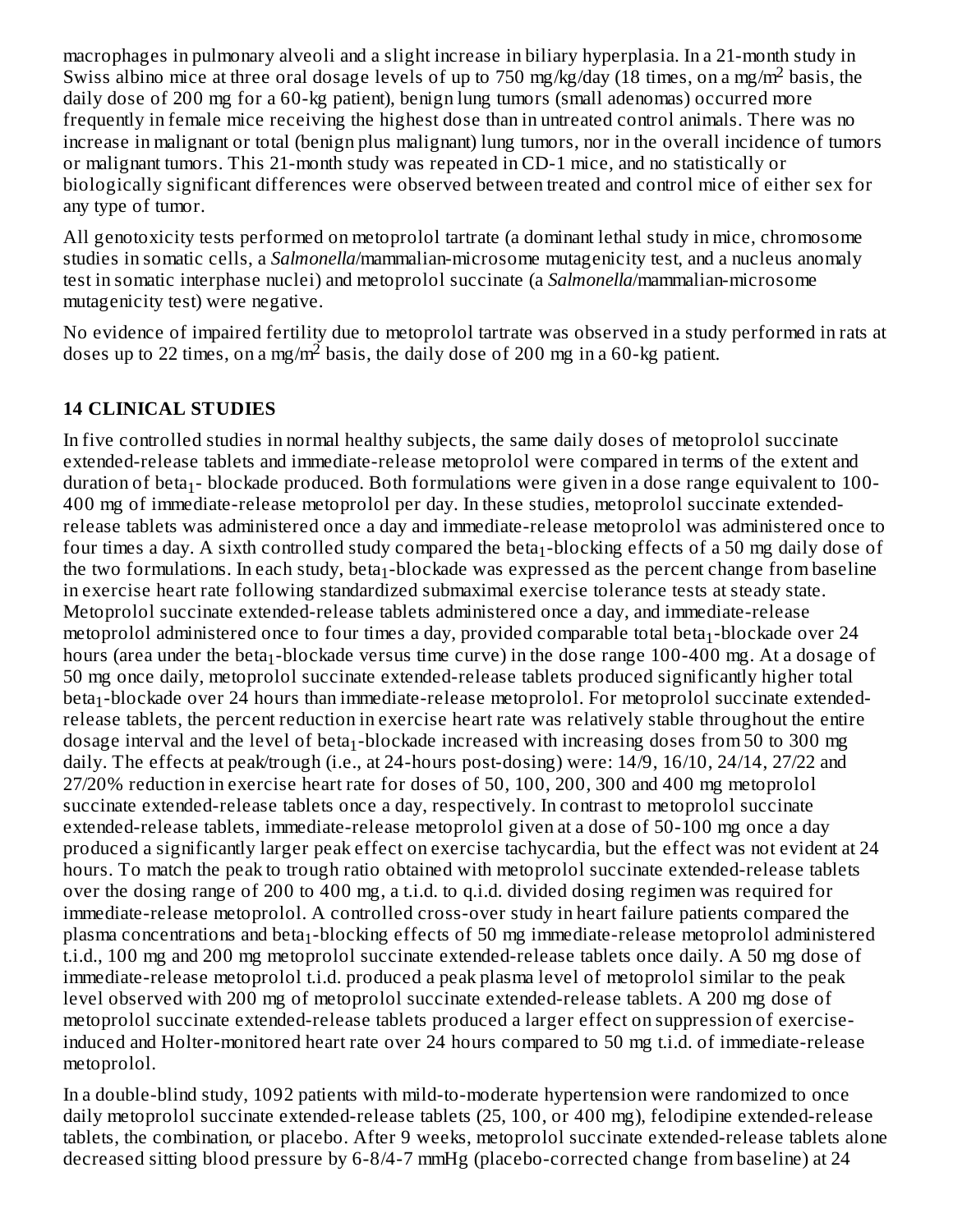macrophages in pulmonary alveoli and a slight increase in biliary hyperplasia. In a 21-month study in Swiss albino mice at three oral dosage levels of up to 750 mg/kg/day (18 times, on a mg/m<sup>2</sup> basis, the daily dose of 200 mg for a 60-kg patient), benign lung tumors (small adenomas) occurred more frequently in female mice receiving the highest dose than in untreated control animals. There was no increase in malignant or total (benign plus malignant) lung tumors, nor in the overall incidence of tumors or malignant tumors. This 21-month study was repeated in CD-1 mice, and no statistically or biologically significant differences were observed between treated and control mice of either sex for any type of tumor.

All genotoxicity tests performed on metoprolol tartrate (a dominant lethal study in mice, chromosome studies in somatic cells, a *Salmonella*/mammalian-microsome mutagenicity test, and a nucleus anomaly test in somatic interphase nuclei) and metoprolol succinate (a *Salmonella*/mammalian-microsome mutagenicity test) were negative.

No evidence of impaired fertility due to metoprolol tartrate was observed in a study performed in rats at doses up to 22 times, on a mg/m<sup>2</sup> basis, the daily dose of 200 mg in a 60-kg patient.

## **14 CLINICAL STUDIES**

In five controlled studies in normal healthy subjects, the same daily doses of metoprolol succinate extended-release tablets and immediate-release metoprolol were compared in terms of the extent and duration of beta $_1$ - blockade produced. Both formulations were given in a dose range equivalent to 100-400 mg of immediate-release metoprolol per day. In these studies, metoprolol succinate extendedrelease tablets was administered once a day and immediate-release metoprolol was administered once to four times a day. A sixth controlled study compared the beta $_1$ -blocking effects of a 50 mg daily dose of the two formulations. In each study, beta $_1$ -blockade was expressed as the percent change from baseline in exercise heart rate following standardized submaximal exercise tolerance tests at steady state. Metoprolol succinate extended-release tablets administered once a day, and immediate-release metoprolol administered once to four times a day, provided comparable total beta $_1$ -blockade over 24  $\,$ hours (area under the beta $_1$ -blockade versus time curve) in the dose range  $100$ -400 mg. At a dosage of 50 mg once daily, metoprolol succinate extended-release tablets produced significantly higher total  $\mathsf{beta}_1\text{-}\mathsf{block}$  over 24 hours than immediate-release metoprolol. For metoprolol succinate extendedrelease tablets, the percent reduction in exercise heart rate was relatively stable throughout the entire dosage interval and the level of beta $_1$ -blockade increased with increasing doses from 50 to 300 mg daily. The effects at peak/trough (i.e., at 24-hours post-dosing) were: 14/9, 16/10, 24/14, 27/22 and 27/20% reduction in exercise heart rate for doses of 50, 100, 200, 300 and 400 mg metoprolol succinate extended-release tablets once a day, respectively. In contrast to metoprolol succinate extended-release tablets, immediate-release metoprolol given at a dose of 50-100 mg once a day produced a significantly larger peak effect on exercise tachycardia, but the effect was not evident at 24 hours. To match the peak to trough ratio obtained with metoprolol succinate extended-release tablets over the dosing range of 200 to 400 mg, a t.i.d. to q.i.d. divided dosing regimen was required for immediate-release metoprolol. A controlled cross-over study in heart failure patients compared the plasma concentrations and beta $_1$ -blocking effects of 50 mg immediate-release metoprolol administered t.i.d., 100 mg and 200 mg metoprolol succinate extended-release tablets once daily. A 50 mg dose of immediate-release metoprolol t.i.d. produced a peak plasma level of metoprolol similar to the peak level observed with 200 mg of metoprolol succinate extended-release tablets. A 200 mg dose of metoprolol succinate extended-release tablets produced a larger effect on suppression of exerciseinduced and Holter-monitored heart rate over 24 hours compared to 50 mg t.i.d. of immediate-release metoprolol.

In a double-blind study, 1092 patients with mild-to-moderate hypertension were randomized to once daily metoprolol succinate extended-release tablets (25, 100, or 400 mg), felodipine extended-release tablets, the combination, or placebo. After 9 weeks, metoprolol succinate extended-release tablets alone decreased sitting blood pressure by 6-8/4-7 mmHg (placebo-corrected change from baseline) at 24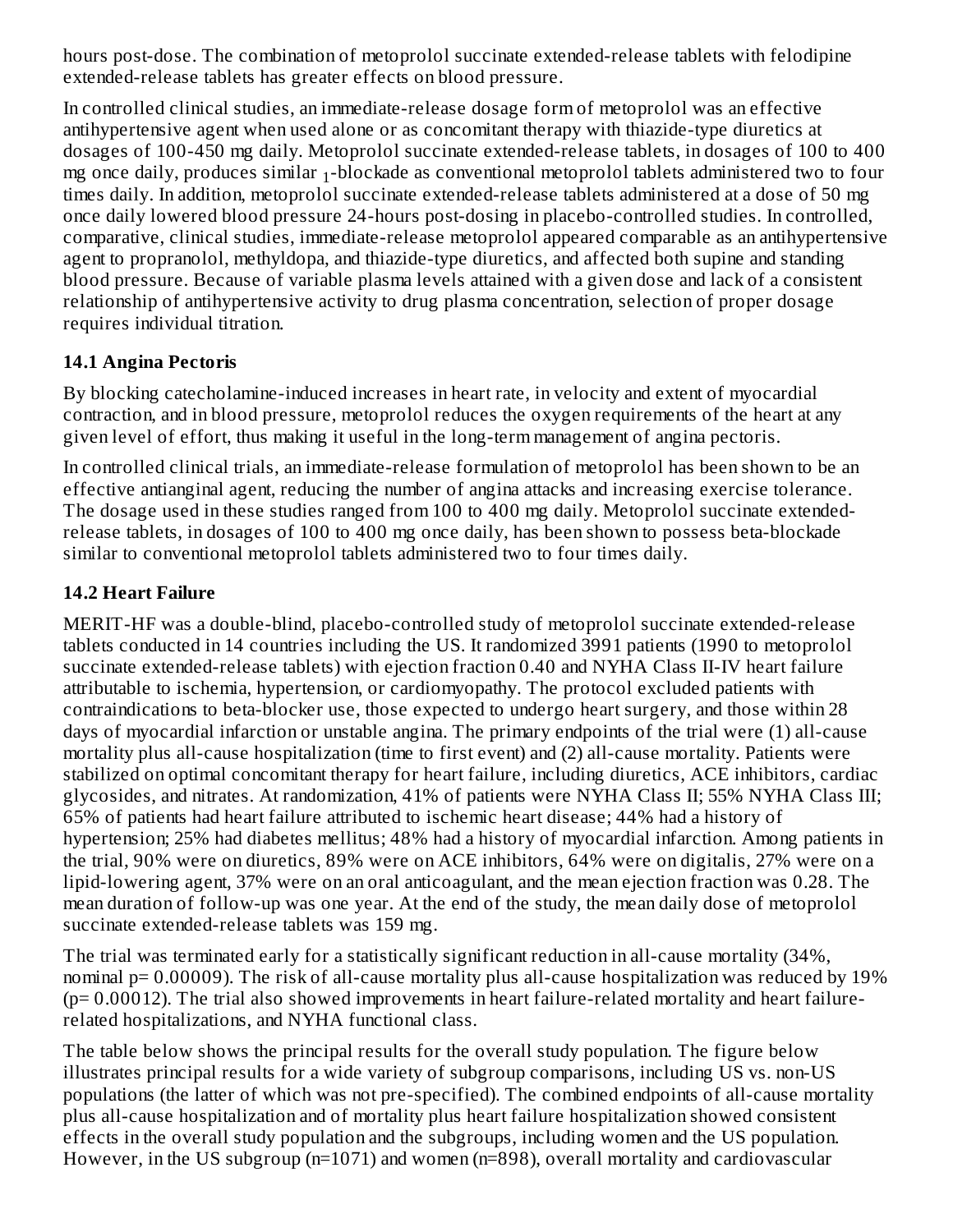hours post-dose. The combination of metoprolol succinate extended-release tablets with felodipine extended-release tablets has greater effects on blood pressure.

In controlled clinical studies, an immediate-release dosage form of metoprolol was an effective antihypertensive agent when used alone or as concomitant therapy with thiazide-type diuretics at dosages of 100-450 mg daily. Metoprolol succinate extended-release tablets, in dosages of 100 to 400 mg once daily, produces similar  $_1$ -blockade as conventional metoprolol tablets administered two to four times daily. In addition, metoprolol succinate extended-release tablets administered at a dose of 50 mg once daily lowered blood pressure 24-hours post-dosing in placebo-controlled studies. In controlled, comparative, clinical studies, immediate-release metoprolol appeared comparable as an antihypertensive agent to propranolol, methyldopa, and thiazide-type diuretics, and affected both supine and standing blood pressure. Because of variable plasma levels attained with a given dose and lack of a consistent relationship of antihypertensive activity to drug plasma concentration, selection of proper dosage requires individual titration.

## **14.1 Angina Pectoris**

By blocking catecholamine-induced increases in heart rate, in velocity and extent of myocardial contraction, and in blood pressure, metoprolol reduces the oxygen requirements of the heart at any given level of effort, thus making it useful in the long-term management of angina pectoris.

In controlled clinical trials, an immediate-release formulation of metoprolol has been shown to be an effective antianginal agent, reducing the number of angina attacks and increasing exercise tolerance. The dosage used in these studies ranged from 100 to 400 mg daily. Metoprolol succinate extendedrelease tablets, in dosages of 100 to 400 mg once daily, has been shown to possess beta-blockade similar to conventional metoprolol tablets administered two to four times daily.

### **14.2 Heart Failure**

MERIT-HF was a double-blind, placebo-controlled study of metoprolol succinate extended-release tablets conducted in 14 countries including the US. It randomized 3991 patients (1990 to metoprolol succinate extended-release tablets) with ejection fraction 0.40 and NYHA Class II-IV heart failure attributable to ischemia, hypertension, or cardiomyopathy. The protocol excluded patients with contraindications to beta-blocker use, those expected to undergo heart surgery, and those within 28 days of myocardial infarction or unstable angina. The primary endpoints of the trial were (1) all-cause mortality plus all-cause hospitalization (time to first event) and (2) all-cause mortality. Patients were stabilized on optimal concomitant therapy for heart failure, including diuretics, ACE inhibitors, cardiac glycosides, and nitrates. At randomization, 41% of patients were NYHA Class II; 55% NYHA Class III; 65% of patients had heart failure attributed to ischemic heart disease; 44% had a history of hypertension; 25% had diabetes mellitus; 48% had a history of myocardial infarction. Among patients in the trial, 90% were on diuretics, 89% were on ACE inhibitors, 64% were on digitalis, 27% were on a lipid-lowering agent, 37% were on an oral anticoagulant, and the mean ejection fraction was 0.28. The mean duration of follow-up was one year. At the end of the study, the mean daily dose of metoprolol succinate extended-release tablets was 159 mg.

The trial was terminated early for a statistically significant reduction in all-cause mortality (34%, nominal p= 0.00009). The risk of all-cause mortality plus all-cause hospitalization was reduced by 19% (p= 0.00012). The trial also showed improvements in heart failure-related mortality and heart failurerelated hospitalizations, and NYHA functional class.

The table below shows the principal results for the overall study population. The figure below illustrates principal results for a wide variety of subgroup comparisons, including US vs. non-US populations (the latter of which was not pre-specified). The combined endpoints of all-cause mortality plus all-cause hospitalization and of mortality plus heart failure hospitalization showed consistent effects in the overall study population and the subgroups, including women and the US population. However, in the US subgroup (n=1071) and women (n=898), overall mortality and cardiovascular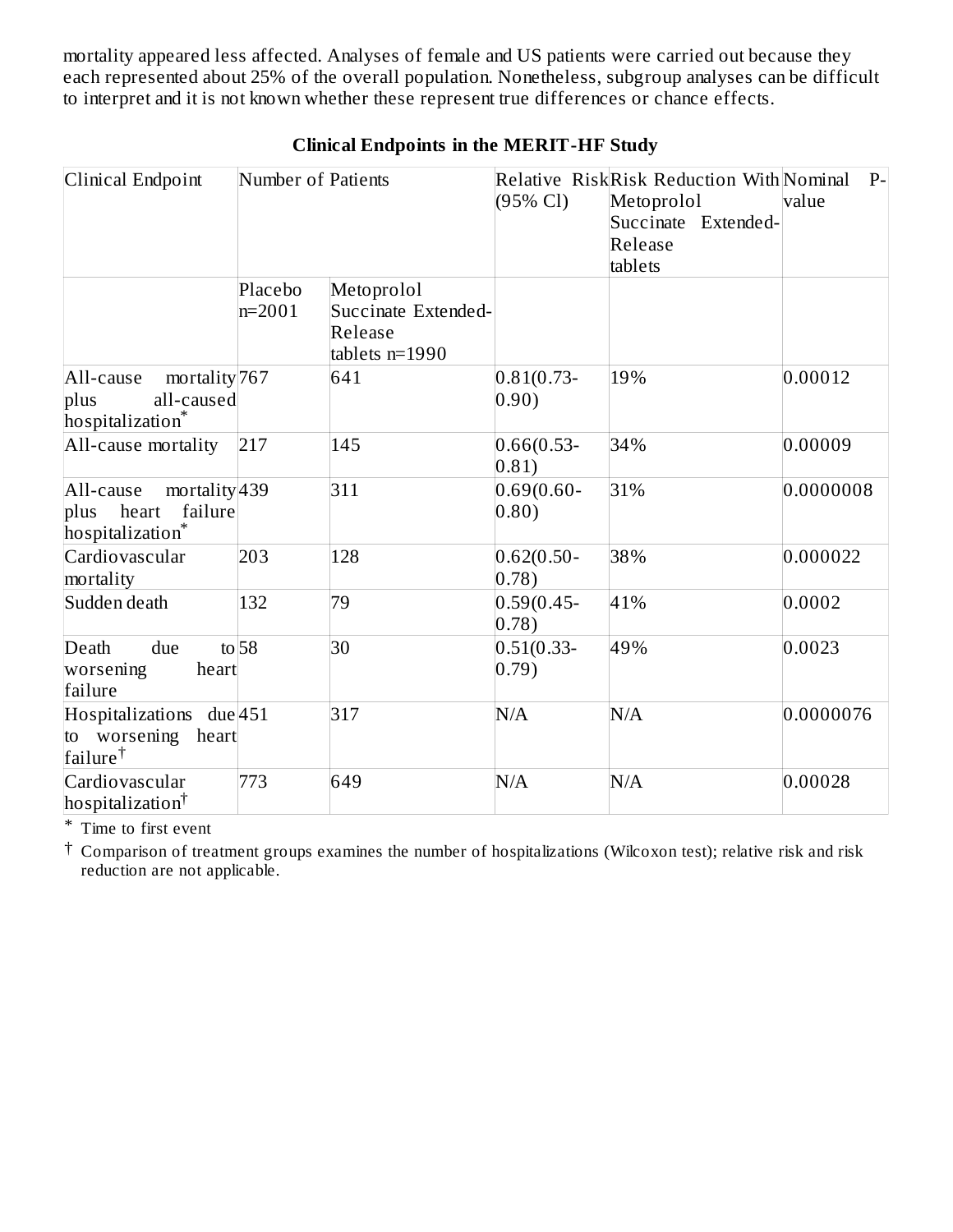mortality appeared less affected. Analyses of female and US patients were carried out because they each represented about 25% of the overall population. Nonetheless, subgroup analyses can be difficult to interpret and it is not known whether these represent true differences or chance effects.

| Clinical Endpoint                                                          | Number of Patients<br>Metoprolol<br>Placebo |                                                  | Relative RiskRisk Reduction With Nominal<br>$(95\% \text{ Cl})$<br>Metoprolol<br>Release<br>tablets | $P-$<br>value<br>Succinate Extended- |           |
|----------------------------------------------------------------------------|---------------------------------------------|--------------------------------------------------|-----------------------------------------------------------------------------------------------------|--------------------------------------|-----------|
|                                                                            | $n=2001$                                    | Succinate Extended-<br>Release<br>tablets n=1990 |                                                                                                     |                                      |           |
| mortality 767<br>All-cause<br>all-caused<br>plus<br>hospitalization*       |                                             | 641                                              | $0.81(0.73 -$<br>0.90)                                                                              | 19%                                  | 0.00012   |
| All-cause mortality                                                        | 217                                         | 145                                              | $0.66(0.53 -$<br>0.81)                                                                              | 34%                                  | 0.00009   |
| mortality 439<br>All-cause<br>heart<br>failure<br>plus<br>hospitalization* |                                             | 311                                              | $0.69(0.60 -$<br>(0.80)                                                                             | 31%                                  | 0.0000008 |
| Cardiovascular<br>mortality                                                | 203                                         | 128                                              | $0.62(0.50 -$<br>(0.78)                                                                             | 38%                                  | 0.000022  |
| Sudden death                                                               | 132                                         | 79                                               | $0.59(0.45 -$<br>(0.78)                                                                             | 41%                                  | 0.0002    |
| Death<br>due<br>worsening<br>heart<br>failure                              | $\frac{1}{6}$ to 58                         | 30                                               | $0.51(0.33 -$<br>(0.79)                                                                             | 49%                                  | 0.0023    |
| Hospitalizations due 451<br>to worsening heart<br>failure <sup>†</sup>     |                                             | 317                                              | N/A                                                                                                 | N/A                                  | 0.0000076 |
| Cardiovascular<br>hospitalization <sup>†</sup>                             | 773                                         | 649                                              | N/A                                                                                                 | N/A                                  | 0.00028   |

### **Clinical Endpoints in the MERIT-HF Study**

\* Time to first event

† Comparison of treatment groups examines the number of hospitalizations (Wilcoxon test); relative risk and risk reduction are not applicable.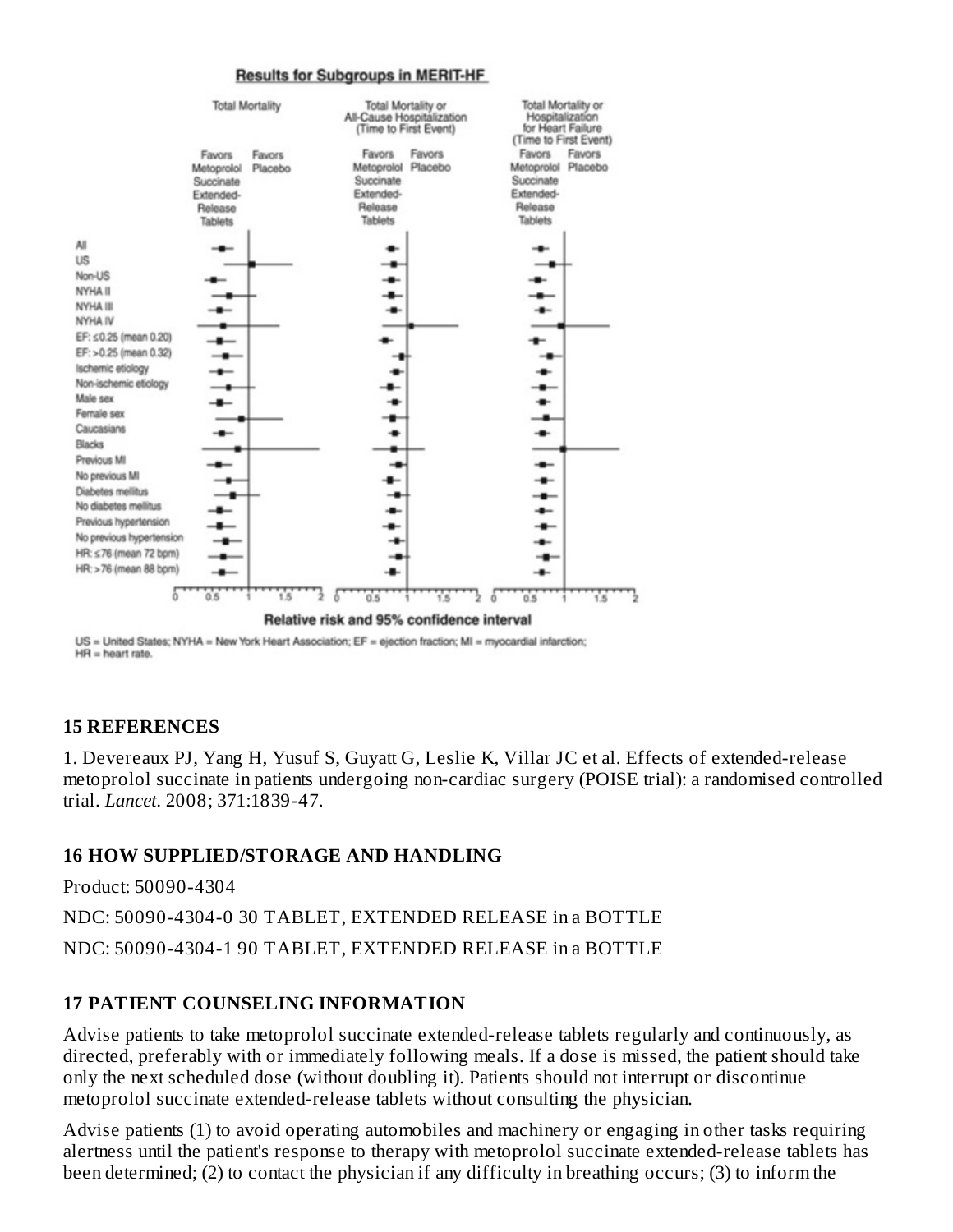#### **Results for Subgroups in MERIT-HF**



US = United States; NYHA = New York Heart Association; EF = ejection fraction; MI = myocardial infarction;  $HR = heart\ rate.$ 

### **15 REFERENCES**

1. Devereaux PJ, Yang H, Yusuf S, Guyatt G, Leslie K, Villar JC et al. Effects of extended-release metoprolol succinate in patients undergoing non-cardiac surgery (POISE trial): a randomised controlled trial. *Lancet*. 2008; 371:1839-47.

### **16 HOW SUPPLIED/STORAGE AND HANDLING**

Product: 50090-4304

NDC: 50090-4304-0 30 TABLET, EXTENDED RELEASE in a BOTTLE NDC: 50090-4304-1 90 TABLET, EXTENDED RELEASE in a BOTTLE

### **17 PATIENT COUNSELING INFORMATION**

Advise patients to take metoprolol succinate extended-release tablets regularly and continuously, as directed, preferably with or immediately following meals. If a dose is missed, the patient should take only the next scheduled dose (without doubling it). Patients should not interrupt or discontinue metoprolol succinate extended-release tablets without consulting the physician.

Advise patients (1) to avoid operating automobiles and machinery or engaging in other tasks requiring alertness until the patient's response to therapy with metoprolol succinate extended-release tablets has been determined; (2) to contact the physician if any difficulty in breathing occurs; (3) to inform the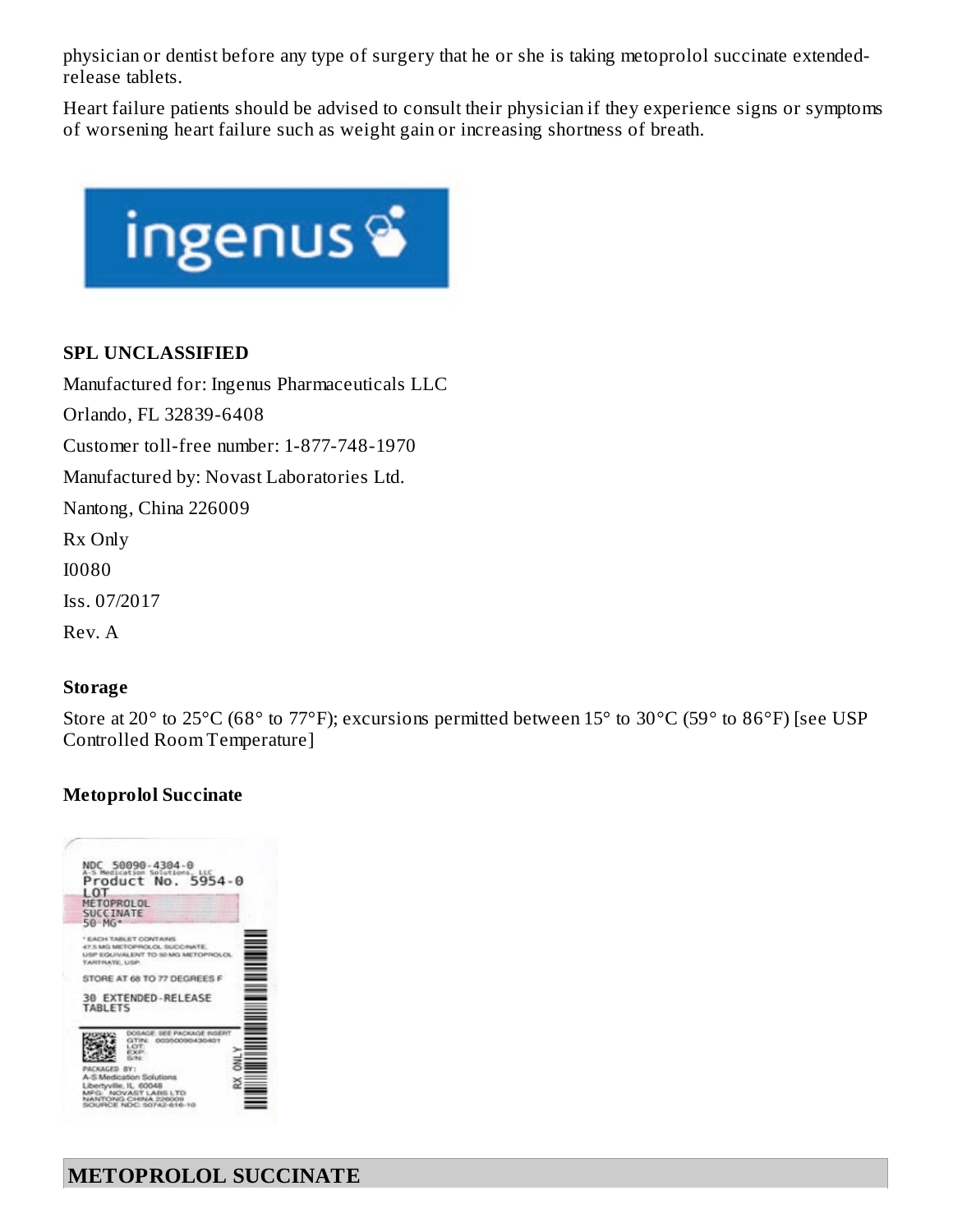physician or dentist before any type of surgery that he or she is taking metoprolol succinate extendedrelease tablets.

Heart failure patients should be advised to consult their physician if they experience signs or symptoms of worsening heart failure such as weight gain or increasing shortness of breath.



### **SPL UNCLASSIFIED**

Manufactured for: Ingenus Pharmaceuticals LLC

Orlando, FL 32839-6408

Customer toll-free number: 1-877-748-1970

Manufactured by: Novast Laboratories Ltd.

Nantong, China 226009

Rx Only

I0080

Iss. 07/2017

Rev. A

### **Storage**

Store at 20° to 25°C (68° to 77°F); excursions permitted between 15° to 30°C (59° to 86°F) [see USP Controlled Room Temperature]

### **Metoprolol Succinate**

| NDC 50090-4304-0<br>A-S Medication Solutions, LLC<br>L O.T                                                                    | Product No. 5954-0                |  |
|-------------------------------------------------------------------------------------------------------------------------------|-----------------------------------|--|
| METOPROLOL<br><b>SUCCINATE</b><br>50 MG*                                                                                      |                                   |  |
| <b>EACH TABLET CONTAINS</b><br>47.5 MG METOPROLOL SUCCINATE.<br><b>TARTRATE, USP.</b>                                         | USP EQUIVALENT TO 50 MG METOPROLO |  |
|                                                                                                                               | STORE AT 68 TO 77 DEGREES F       |  |
| 30 EXTENDED-RELEASE<br><b>TABLETS</b>                                                                                         |                                   |  |
|                                                                                                                               | <b><i>PACKAGE</i></b><br>00000430 |  |
| PACKAGED BY:<br>A-S Medication Solutions<br>Libertyville, IL 60048<br><b>MEGLI</b><br>NOVAST LARS LTD<br>NANTONO CHINA 220000 | SOURCE NDC: 50742-616-10          |  |

**METOPROLOL SUCCINATE**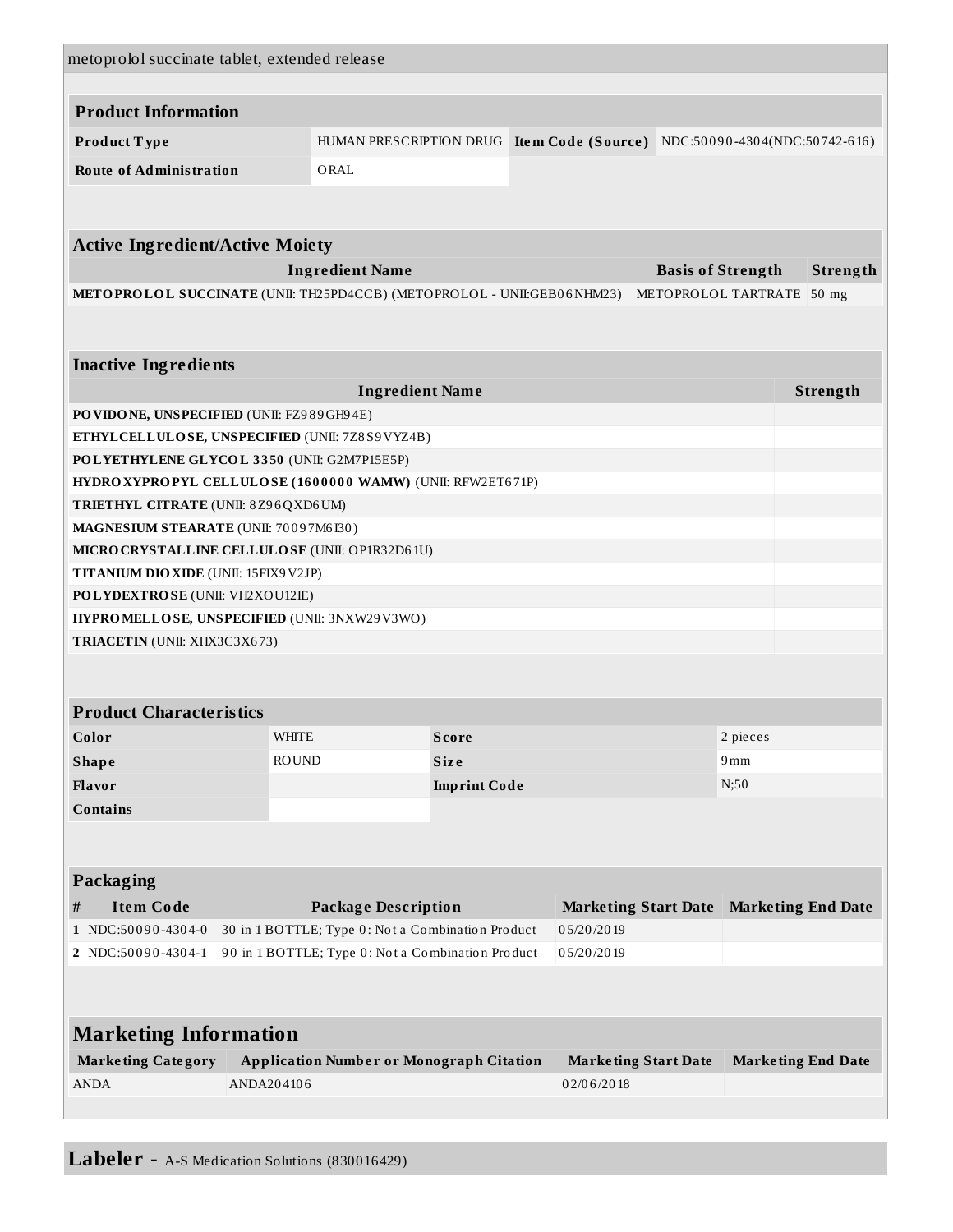| metoprolol succinate tablet, extended release                                                            |                                                                 |                                                 |            |                           |                                                          |                                                  |          |
|----------------------------------------------------------------------------------------------------------|-----------------------------------------------------------------|-------------------------------------------------|------------|---------------------------|----------------------------------------------------------|--------------------------------------------------|----------|
| <b>Product Information</b>                                                                               |                                                                 |                                                 |            |                           |                                                          |                                                  |          |
| Product Type                                                                                             | HUMAN PRESCRIPTION DRUG                                         |                                                 |            |                           |                                                          | Item Code (Source) NDC:50090-4304(NDC:50742-616) |          |
|                                                                                                          | ORAL                                                            |                                                 |            |                           |                                                          |                                                  |          |
| <b>Route of Administration</b>                                                                           |                                                                 |                                                 |            |                           |                                                          |                                                  |          |
|                                                                                                          |                                                                 |                                                 |            |                           |                                                          |                                                  |          |
| <b>Active Ingredient/Active Moiety</b>                                                                   |                                                                 |                                                 |            |                           |                                                          |                                                  |          |
|                                                                                                          | <b>Ingredient Name</b>                                          |                                                 |            |                           |                                                          | <b>Basis of Strength</b>                         | Strength |
| METOPROLOL SUCCINATE (UNII: TH25PD4CCB) (METOPROLOL - UNII:GEB06NHM23)<br>METOPROLOL TARTRATE<br>$50$ mg |                                                                 |                                                 |            |                           |                                                          |                                                  |          |
| <b>Inactive Ingredients</b>                                                                              |                                                                 |                                                 |            |                           |                                                          |                                                  |          |
|                                                                                                          | <b>Ingredient Name</b>                                          |                                                 |            |                           |                                                          |                                                  | Strength |
| PO VIDO NE, UNSPECIFIED (UNII: FZ989GH94E)                                                               |                                                                 |                                                 |            |                           |                                                          |                                                  |          |
| ETHYLCELLULOSE, UNSPECIFIED (UNII: 7Z8S9VYZ4B)                                                           |                                                                 |                                                 |            |                           |                                                          |                                                  |          |
| POLYETHYLENE GLYCOL 3350 (UNII: G2M7P15E5P)                                                              |                                                                 |                                                 |            |                           |                                                          |                                                  |          |
| HYDRO XYPROPYL CELLULOSE (1600000 WAMW) (UNII: RFW2ET671P)                                               |                                                                 |                                                 |            |                           |                                                          |                                                  |          |
| TRIETHYL CITRATE (UNII: 8Z96QXD6UM)<br>MAGNESIUM STEARATE (UNII: 70097M6I30)                             |                                                                 |                                                 |            |                           |                                                          |                                                  |          |
| MICRO CRYSTALLINE CELLULO SE (UNII: OP1R32D61U)                                                          |                                                                 |                                                 |            |                           |                                                          |                                                  |          |
| TITANIUM DIO XIDE (UNII: 15FIX9V2JP)                                                                     |                                                                 |                                                 |            |                           |                                                          |                                                  |          |
| <b>POLYDEXTROSE</b> (UNII: VH2XOU12IE)                                                                   |                                                                 |                                                 |            |                           |                                                          |                                                  |          |
| HYPROMELLOSE, UNSPECIFIED (UNII: 3NXW29V3WO)                                                             |                                                                 |                                                 |            |                           |                                                          |                                                  |          |
| TRIACETIN (UNII: XHX3C3X673)                                                                             |                                                                 |                                                 |            |                           |                                                          |                                                  |          |
|                                                                                                          |                                                                 |                                                 |            |                           |                                                          |                                                  |          |
| <b>Product Characteristics</b>                                                                           |                                                                 |                                                 |            |                           |                                                          |                                                  |          |
| <b>WHITE</b><br>Color                                                                                    |                                                                 | <b>Score</b>                                    |            | 2 pieces                  |                                                          |                                                  |          |
| ROUND<br><b>Shape</b>                                                                                    |                                                                 | <b>Size</b>                                     |            |                           |                                                          | 9mm                                              |          |
| Flavor                                                                                                   | <b>Imprint Code</b>                                             |                                                 | N;50       |                           |                                                          |                                                  |          |
| <b>Contains</b>                                                                                          |                                                                 |                                                 |            |                           |                                                          |                                                  |          |
|                                                                                                          |                                                                 |                                                 |            |                           |                                                          |                                                  |          |
| <b>Packaging</b>                                                                                         |                                                                 |                                                 |            |                           |                                                          |                                                  |          |
| <b>Item Code</b><br>#                                                                                    | <b>Package Description</b><br><b>Marketing Start Date</b>       |                                                 |            | <b>Marketing End Date</b> |                                                          |                                                  |          |
| 1 NDC:50090-4304-0                                                                                       | 30 in 1 BOTTLE; Type 0: Not a Combination Product               |                                                 | 05/20/2019 |                           |                                                          |                                                  |          |
| 2 NDC:50090-4304-1                                                                                       | 90 in 1 BOTTLE; Type 0: Not a Combination Product<br>05/20/2019 |                                                 |            |                           |                                                          |                                                  |          |
|                                                                                                          |                                                                 |                                                 |            |                           |                                                          |                                                  |          |
| <b>Marketing Information</b>                                                                             |                                                                 |                                                 |            |                           |                                                          |                                                  |          |
| <b>Marketing Category</b>                                                                                |                                                                 | <b>Application Number or Monograph Citation</b> |            |                           | <b>Marketing End Date</b><br><b>Marketing Start Date</b> |                                                  |          |
| ANDA204106<br><b>ANDA</b>                                                                                |                                                                 |                                                 |            | 02/06/2018                |                                                          |                                                  |          |